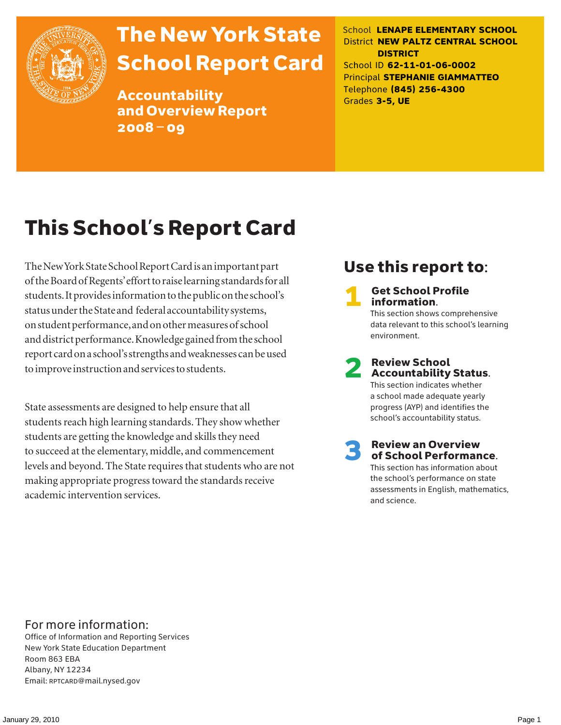

# The New York State School Report Card

Accountability and Overview Report 2008–09

School **LENAPE ELEMENTARY SCHOOL** District **NEW PALTZ CENTRAL SCHOOL DISTRICT** School ID **62-11-01-06-0002** Principal **STEPHANIE GIAMMATTEO** Telephone **(845) 256-4300** Grades **3-5, UE**

# This School's Report Card

The New York State School Report Card is an important part of the Board of Regents' effort to raise learning standards for all students. It provides information to the public on the school's status under the State and federal accountability systems, on student performance, and on other measures of school and district performance. Knowledge gained from the school report card on a school's strengths and weaknesses can be used to improve instruction and services to students.

State assessments are designed to help ensure that all students reach high learning standards. They show whether students are getting the knowledge and skills they need to succeed at the elementary, middle, and commencement levels and beyond. The State requires that students who are not making appropriate progress toward the standards receive academic intervention services.

### Use this report to:

**Get School Profile** information. This section shows comprehensive data relevant to this school's learning environment.

2 Review School Accountability Status.

This section indicates whether a school made adequate yearly progress (AYP) and identifies the school's accountability status.

3 Review an Overview of School Performance. This section has information about the school's performance on state assessments in English, mathematics,

and science.

For more information:

Office of Information and Reporting Services New York State Education Department Room 863 EBA Albany, NY 12234 Email: RPTCARD@mail.nysed.gov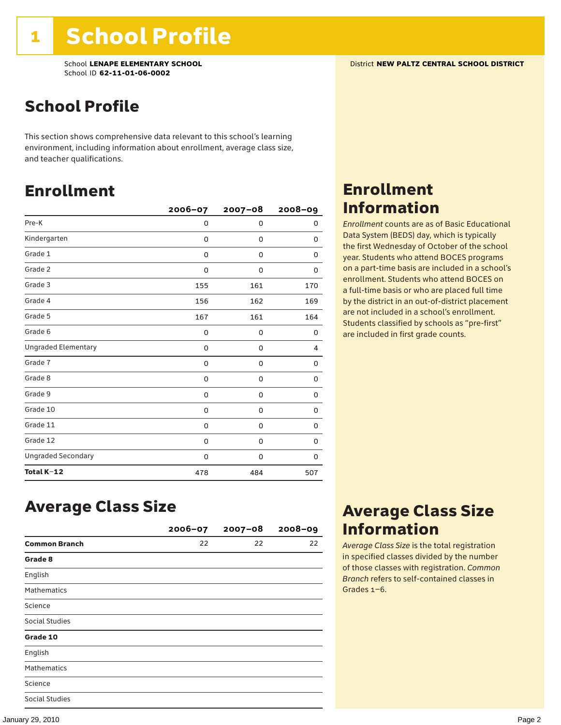### School Profile

This section shows comprehensive data relevant to this school's learning environment, including information about enrollment, average class size, and teacher qualifications.

### Enrollment

|                            | 2006-07 | $2007 - 08$ | $2008 - 09$ |
|----------------------------|---------|-------------|-------------|
| Pre-K                      | 0       | 0           | 0           |
| Kindergarten               | 0       | 0           | 0           |
| Grade 1                    | 0       | 0           | 0           |
| Grade 2                    | 0       | 0           | 0           |
| Grade 3                    | 155     | 161         | 170         |
| Grade 4                    | 156     | 162         | 169         |
| Grade 5                    | 167     | 161         | 164         |
| Grade 6                    | 0       | 0           | 0           |
| <b>Ungraded Elementary</b> | 0       | 0           | 4           |
| Grade 7                    | 0       | 0           | 0           |
| Grade 8                    | 0       | 0           | 0           |
| Grade 9                    | 0       | 0           | 0           |
| Grade 10                   | 0       | 0           | 0           |
| Grade 11                   | 0       | 0           | 0           |
| Grade 12                   | 0       | 0           | 0           |
| <b>Ungraded Secondary</b>  | 0       | 0           | 0           |
| Total K-12                 | 478     | 484         | 507         |

### Enrollment Information

*Enrollment* counts are as of Basic Educational Data System (BEDS) day, which is typically the first Wednesday of October of the school year. Students who attend BOCES programs on a part-time basis are included in a school's enrollment. Students who attend BOCES on a full-time basis or who are placed full time by the district in an out-of-district placement are not included in a school's enrollment. Students classified by schools as "pre-first" are included in first grade counts.

### Average Class Size

|                      | $2006 - 07$ | $2007 - 08$ | $2008 - 09$ |
|----------------------|-------------|-------------|-------------|
| <b>Common Branch</b> | 22          | 22          | 22          |
| Grade 8              |             |             |             |
| English              |             |             |             |
| <b>Mathematics</b>   |             |             |             |
| Science              |             |             |             |
| Social Studies       |             |             |             |
| Grade 10             |             |             |             |
| English              |             |             |             |
| <b>Mathematics</b>   |             |             |             |
| Science              |             |             |             |
| Social Studies       |             |             |             |

### Average Class Size Information

*Average Class Size* is the total registration in specified classes divided by the number of those classes with registration. *Common Branch* refers to self-contained classes in Grades 1–6.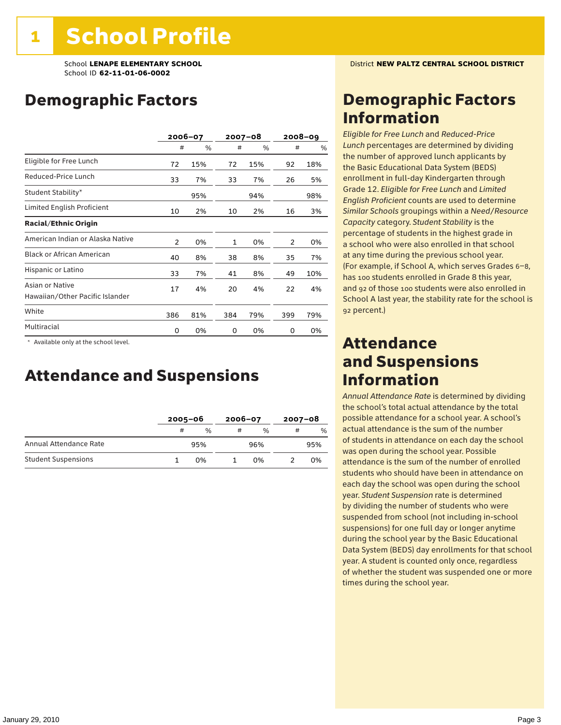### Demographic Factors

|                                                    |                | 2006-07 |     | 2007-08 |     | $2008 - 09$ |
|----------------------------------------------------|----------------|---------|-----|---------|-----|-------------|
|                                                    | #              | %       | #   | %       | #   | %           |
| Eligible for Free Lunch                            | 72             | 15%     | 72  | 15%     | 92  | 18%         |
| Reduced-Price Lunch                                | 33             | 7%      | 33  | 7%      | 26  | 5%          |
| Student Stability*                                 |                | 95%     |     | 94%     |     | 98%         |
| Limited English Proficient                         | 10             | 2%      | 10  | 2%      | 16  | 3%          |
| <b>Racial/Ethnic Origin</b>                        |                |         |     |         |     |             |
| American Indian or Alaska Native                   | $\overline{2}$ | 0%      | 1   | 0%      | 2   | 0%          |
| <b>Black or African American</b>                   | 40             | 8%      | 38  | 8%      | 35  | 7%          |
| Hispanic or Latino                                 | 33             | 7%      | 41  | 8%      | 49  | 10%         |
| Asian or Native<br>Hawaiian/Other Pacific Islander | 17             | 4%      | 20  | 4%      | 22  | 4%          |
| White                                              | 386            | 81%     | 384 | 79%     | 399 | 79%         |
| Multiracial                                        | 0              | 0%      | 0   | 0%      | 0   | 0%          |

\* Available only at the school level.

### Attendance and Suspensions

|                            |   | $2005 - 06$ |   | $2006 - 07$ |   | $2007 - 08$   |  |
|----------------------------|---|-------------|---|-------------|---|---------------|--|
|                            | # | $\%$        | # | $\%$        | # | $\frac{0}{6}$ |  |
| Annual Attendance Rate     |   | 95%         |   | 96%         |   | 95%           |  |
| <b>Student Suspensions</b> |   | በ%          |   | በ%          |   | 0%            |  |

### Demographic Factors Information

*Eligible for Free Lunch* and *Reduced*-*Price Lunch* percentages are determined by dividing the number of approved lunch applicants by the Basic Educational Data System (BEDS) enrollment in full-day Kindergarten through Grade 12. *Eligible for Free Lunch* and *Limited English Proficient* counts are used to determine *Similar Schools* groupings within a *Need*/*Resource Capacity* category. *Student Stability* is the percentage of students in the highest grade in a school who were also enrolled in that school at any time during the previous school year. (For example, if School A, which serves Grades 6–8, has 100 students enrolled in Grade 8 this year, and 92 of those 100 students were also enrolled in School A last year, the stability rate for the school is 92 percent.)

### Attendance and Suspensions Information

*Annual Attendance Rate* is determined by dividing the school's total actual attendance by the total possible attendance for a school year. A school's actual attendance is the sum of the number of students in attendance on each day the school was open during the school year. Possible attendance is the sum of the number of enrolled students who should have been in attendance on each day the school was open during the school year. *Student Suspension* rate is determined by dividing the number of students who were suspended from school (not including in-school suspensions) for one full day or longer anytime during the school year by the Basic Educational Data System (BEDS) day enrollments for that school year. A student is counted only once, regardless of whether the student was suspended one or more times during the school year.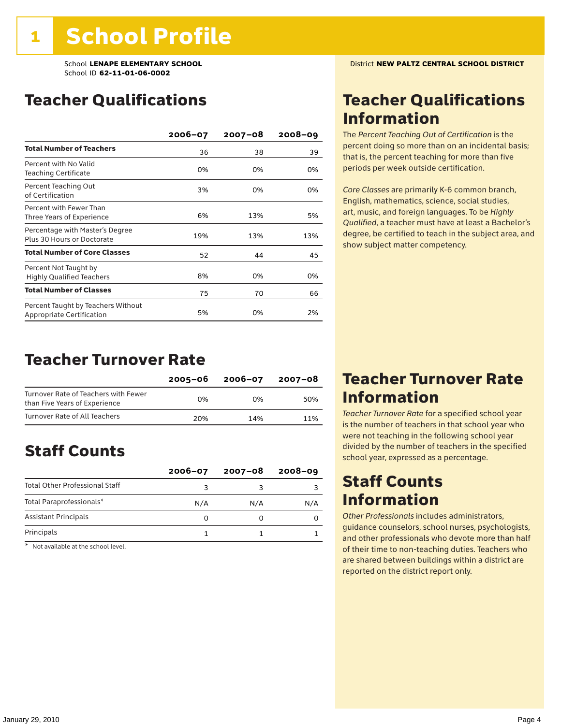### Teacher Qualifications

|                                                                        | 2006-07 | 2007-08 | $2008 - 09$ |
|------------------------------------------------------------------------|---------|---------|-------------|
| <b>Total Number of Teachers</b>                                        | 36      | 38      | 39          |
| Percent with No Valid<br>Teaching Certificate                          | 0%      | 0%      | 0%          |
| Percent Teaching Out<br>of Certification                               | 3%      | 0%      | 0%          |
| Percent with Fewer Than<br>Three Years of Experience                   | 6%      | 13%     | 5%          |
| Percentage with Master's Degree<br>Plus 30 Hours or Doctorate          | 19%     | 13%     | 13%         |
| <b>Total Number of Core Classes</b>                                    | 52      | 44      | 45          |
| Percent Not Taught by<br><b>Highly Qualified Teachers</b>              | 8%      | 0%      | 0%          |
| <b>Total Number of Classes</b>                                         | 75      | 70      | 66          |
| Percent Taught by Teachers Without<br><b>Appropriate Certification</b> | 5%      | 0%      | 2%          |

### Teacher Turnover Rate

|                                                                       | 2005-06 | 2006-07 | 2007-08 |
|-----------------------------------------------------------------------|---------|---------|---------|
| Turnover Rate of Teachers with Fewer<br>than Five Years of Experience | በ%      | በ%      | 50%     |
| Turnover Rate of All Teachers                                         | 20%     | 14%     | 11%     |

### Staff Counts

|                                       | $2006 - 07$ | $2007 - 08$ | $2008 - 09$ |
|---------------------------------------|-------------|-------------|-------------|
| <b>Total Other Professional Staff</b> |             |             |             |
| Total Paraprofessionals*              | N/A         | N/A         | N/A         |
| <b>Assistant Principals</b>           |             |             |             |
| Principals                            |             |             |             |

\* Not available at the school level.

### Teacher Qualifications Information

The *Percent Teaching Out of Certification* is the percent doing so more than on an incidental basis; that is, the percent teaching for more than five periods per week outside certification.

*Core Classes* are primarily K-6 common branch, English, mathematics, science, social studies, art, music, and foreign languages. To be *Highly Qualified*, a teacher must have at least a Bachelor's degree, be certified to teach in the subject area, and show subject matter competency.

### Teacher Turnover Rate Information

*Teacher Turnover Rate* for a specified school year is the number of teachers in that school year who were not teaching in the following school year divided by the number of teachers in the specified school year, expressed as a percentage.

### Staff Counts Information

*Other Professionals* includes administrators, guidance counselors, school nurses, psychologists, and other professionals who devote more than half of their time to non-teaching duties. Teachers who are shared between buildings within a district are reported on the district report only.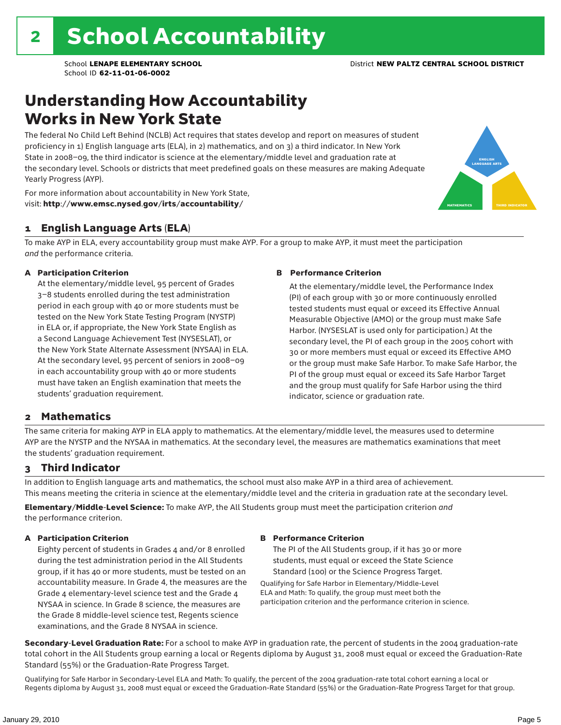### Understanding How Accountability Works in New York State

The federal No Child Left Behind (NCLB) Act requires that states develop and report on measures of student proficiency in 1) English language arts (ELA), in 2) mathematics, and on 3) a third indicator. In New York State in 2008–09, the third indicator is science at the elementary/middle level and graduation rate at the secondary level. Schools or districts that meet predefined goals on these measures are making Adequate Yearly Progress (AYP).



For more information about accountability in New York State, visit: http://www.emsc.nysed.gov/irts/accountability/

### 1 English Language Arts (ELA)

To make AYP in ELA, every accountability group must make AYP. For a group to make AYP, it must meet the participation *and* the performance criteria.

#### A Participation Criterion

At the elementary/middle level, 95 percent of Grades 3–8 students enrolled during the test administration period in each group with 40 or more students must be tested on the New York State Testing Program (NYSTP) in ELA or, if appropriate, the New York State English as a Second Language Achievement Test (NYSESLAT), or the New York State Alternate Assessment (NYSAA) in ELA. At the secondary level, 95 percent of seniors in 2008–09 in each accountability group with 40 or more students must have taken an English examination that meets the students' graduation requirement.

#### B Performance Criterion

At the elementary/middle level, the Performance Index (PI) of each group with 30 or more continuously enrolled tested students must equal or exceed its Effective Annual Measurable Objective (AMO) or the group must make Safe Harbor. (NYSESLAT is used only for participation.) At the secondary level, the PI of each group in the 2005 cohort with 30 or more members must equal or exceed its Effective AMO or the group must make Safe Harbor. To make Safe Harbor, the PI of the group must equal or exceed its Safe Harbor Target and the group must qualify for Safe Harbor using the third indicator, science or graduation rate.

### 2 Mathematics

The same criteria for making AYP in ELA apply to mathematics. At the elementary/middle level, the measures used to determine AYP are the NYSTP and the NYSAA in mathematics. At the secondary level, the measures are mathematics examinations that meet the students' graduation requirement.

### 3 Third Indicator

In addition to English language arts and mathematics, the school must also make AYP in a third area of achievement. This means meeting the criteria in science at the elementary/middle level and the criteria in graduation rate at the secondary level.

Elementary/Middle-Level Science: To make AYP, the All Students group must meet the participation criterion *and* the performance criterion.

#### A Participation Criterion

Eighty percent of students in Grades 4 and/or 8 enrolled during the test administration period in the All Students group, if it has 40 or more students, must be tested on an accountability measure. In Grade 4, the measures are the Grade 4 elementary-level science test and the Grade 4 NYSAA in science. In Grade 8 science, the measures are the Grade 8 middle-level science test, Regents science examinations, and the Grade 8 NYSAA in science.

#### B Performance Criterion

The PI of the All Students group, if it has 30 or more students, must equal or exceed the State Science Standard (100) or the Science Progress Target.

Qualifying for Safe Harbor in Elementary/Middle-Level ELA and Math: To qualify, the group must meet both the participation criterion and the performance criterion in science.

Secondary-Level Graduation Rate: For a school to make AYP in graduation rate, the percent of students in the 2004 graduation-rate total cohort in the All Students group earning a local or Regents diploma by August 31, 2008 must equal or exceed the Graduation-Rate Standard (55%) or the Graduation-Rate Progress Target.

Qualifying for Safe Harbor in Secondary-Level ELA and Math: To qualify, the percent of the 2004 graduation-rate total cohort earning a local or Regents diploma by August 31, 2008 must equal or exceed the Graduation-Rate Standard (55%) or the Graduation-Rate Progress Target for that group.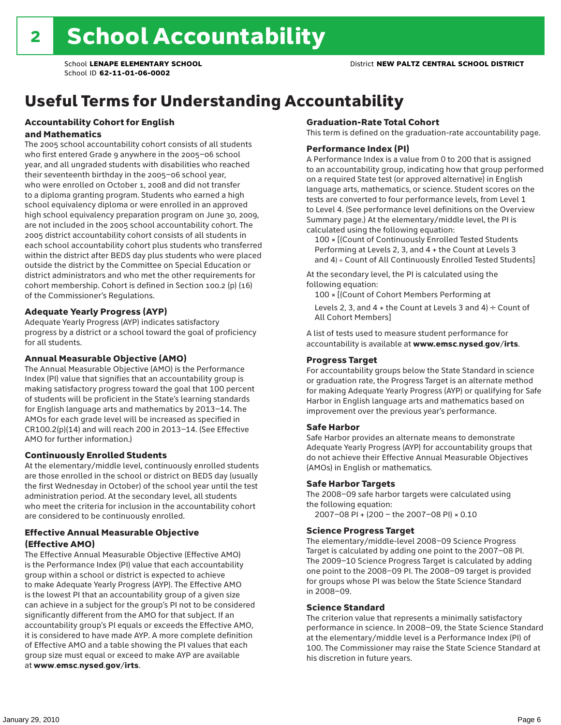# Useful Terms for Understanding Accountability

#### Accountability Cohort for English and Mathematics

The 2005 school accountability cohort consists of all students who first entered Grade 9 anywhere in the 2005–06 school year, and all ungraded students with disabilities who reached their seventeenth birthday in the 2005–06 school year, who were enrolled on October 1, 2008 and did not transfer to a diploma granting program. Students who earned a high school equivalency diploma or were enrolled in an approved high school equivalency preparation program on June 30, 2009, are not included in the 2005 school accountability cohort. The 2005 district accountability cohort consists of all students in each school accountability cohort plus students who transferred within the district after BEDS day plus students who were placed outside the district by the Committee on Special Education or district administrators and who met the other requirements for cohort membership. Cohort is defined in Section 100.2 (p) (16) of the Commissioner's Regulations.

#### Adequate Yearly Progress (AYP)

Adequate Yearly Progress (AYP) indicates satisfactory progress by a district or a school toward the goal of proficiency for all students.

#### Annual Measurable Objective (AMO)

The Annual Measurable Objective (AMO) is the Performance Index (PI) value that signifies that an accountability group is making satisfactory progress toward the goal that 100 percent of students will be proficient in the State's learning standards for English language arts and mathematics by 2013–14. The AMOs for each grade level will be increased as specified in CR100.2(p)(14) and will reach 200 in 2013–14. (See Effective AMO for further information.)

#### Continuously Enrolled Students

At the elementary/middle level, continuously enrolled students are those enrolled in the school or district on BEDS day (usually the first Wednesday in October) of the school year until the test administration period. At the secondary level, all students who meet the criteria for inclusion in the accountability cohort are considered to be continuously enrolled.

#### Effective Annual Measurable Objective (Effective AMO)

The Effective Annual Measurable Objective (Effective AMO) is the Performance Index (PI) value that each accountability group within a school or district is expected to achieve to make Adequate Yearly Progress (AYP). The Effective AMO is the lowest PI that an accountability group of a given size can achieve in a subject for the group's PI not to be considered significantly different from the AMO for that subject. If an accountability group's PI equals or exceeds the Effective AMO, it is considered to have made AYP. A more complete definition of Effective AMO and a table showing the PI values that each group size must equal or exceed to make AYP are available at www.emsc.nysed.gov/irts.

#### Graduation-Rate Total Cohort

This term is defined on the graduation-rate accountability page.

#### Performance Index (PI)

A Performance Index is a value from 0 to 200 that is assigned to an accountability group, indicating how that group performed on a required State test (or approved alternative) in English language arts, mathematics, or science. Student scores on the tests are converted to four performance levels, from Level 1 to Level 4. (See performance level definitions on the Overview Summary page.) At the elementary/middle level, the PI is calculated using the following equation:

100 × [(Count of Continuously Enrolled Tested Students Performing at Levels 2, 3, and 4 + the Count at Levels 3 and 4) ÷ Count of All Continuously Enrolled Tested Students]

At the secondary level, the PI is calculated using the following equation:

100 × [(Count of Cohort Members Performing at

Levels 2, 3, and 4 + the Count at Levels 3 and 4)  $\div$  Count of All Cohort Members]

A list of tests used to measure student performance for accountability is available at www.emsc.nysed.gov/irts.

#### Progress Target

For accountability groups below the State Standard in science or graduation rate, the Progress Target is an alternate method for making Adequate Yearly Progress (AYP) or qualifying for Safe Harbor in English language arts and mathematics based on improvement over the previous year's performance.

#### Safe Harbor

Safe Harbor provides an alternate means to demonstrate Adequate Yearly Progress (AYP) for accountability groups that do not achieve their Effective Annual Measurable Objectives (AMOs) in English or mathematics.

#### Safe Harbor Targets

The 2008–09 safe harbor targets were calculated using the following equation:

2007–08 PI + (200 – the 2007–08 PI) × 0.10

#### Science Progress Target

The elementary/middle-level 2008–09 Science Progress Target is calculated by adding one point to the 2007–08 PI. The 2009–10 Science Progress Target is calculated by adding one point to the 2008–09 PI. The 2008–09 target is provided for groups whose PI was below the State Science Standard in 2008–09.

#### Science Standard

The criterion value that represents a minimally satisfactory performance in science. In 2008–09, the State Science Standard at the elementary/middle level is a Performance Index (PI) of 100. The Commissioner may raise the State Science Standard at his discretion in future years.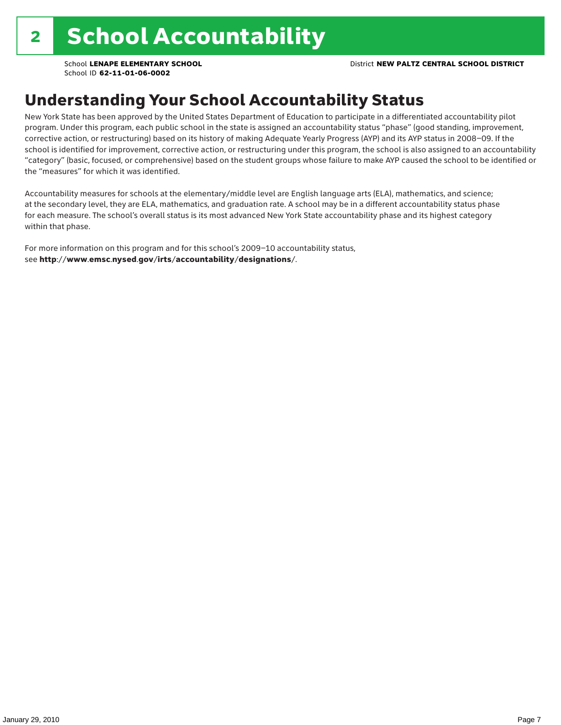## Understanding Your School Accountability Status

New York State has been approved by the United States Department of Education to participate in a differentiated accountability pilot program. Under this program, each public school in the state is assigned an accountability status "phase" (good standing, improvement, corrective action, or restructuring) based on its history of making Adequate Yearly Progress (AYP) and its AYP status in 2008–09. If the school is identified for improvement, corrective action, or restructuring under this program, the school is also assigned to an accountability "category" (basic, focused, or comprehensive) based on the student groups whose failure to make AYP caused the school to be identified or the "measures" for which it was identified.

Accountability measures for schools at the elementary/middle level are English language arts (ELA), mathematics, and science; at the secondary level, they are ELA, mathematics, and graduation rate. A school may be in a different accountability status phase for each measure. The school's overall status is its most advanced New York State accountability phase and its highest category within that phase.

For more information on this program and for this school's 2009–10 accountability status, see http://www.emsc.nysed.gov/irts/accountability/designations/.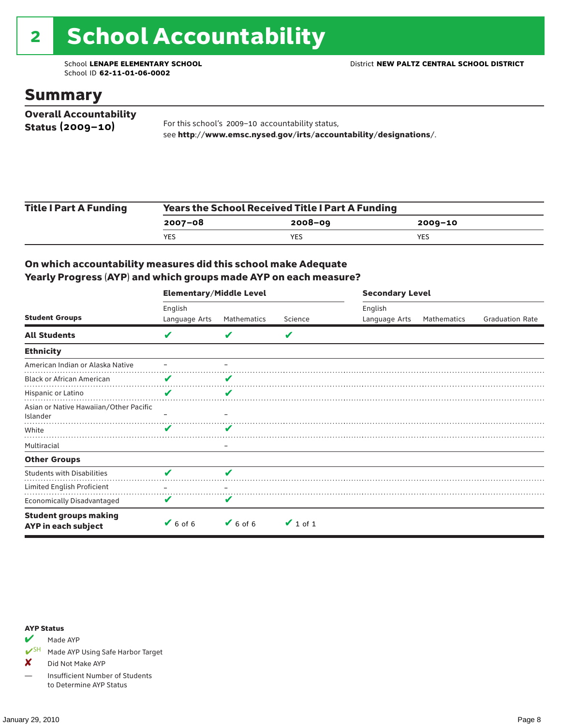# 2 School Accountability

School ID **62-11-01-06-0002**

### Summary

| <b>Overall Accountability</b> |                                                                  |
|-------------------------------|------------------------------------------------------------------|
| Status $(2009 - 10)$          | For this school's 2009-10 accountability status,                 |
|                               | see http://www.emsc.nysed.gov/irts/accountability/designations/. |

| <b>Title I Part A Funding</b> | <b>Years the School Received Title I Part A Funding</b> |             |         |  |  |  |
|-------------------------------|---------------------------------------------------------|-------------|---------|--|--|--|
|                               | 2007-08                                                 | $2008 - 09$ | 2009-10 |  |  |  |
|                               | <b>YES</b>                                              | YES         | YES     |  |  |  |

### On which accountability measures did this school make Adequate Yearly Progress (AYP) and which groups made AYP on each measure?

|                                                     | <b>Elementary/Middle Level</b> |             |               |               | <b>Secondary Level</b> |                        |  |  |
|-----------------------------------------------------|--------------------------------|-------------|---------------|---------------|------------------------|------------------------|--|--|
|                                                     | English                        |             |               | English       |                        |                        |  |  |
| <b>Student Groups</b>                               | Language Arts                  | Mathematics | Science       | Language Arts | Mathematics            | <b>Graduation Rate</b> |  |  |
| <b>All Students</b>                                 | V                              |             | V             |               |                        |                        |  |  |
| <b>Ethnicity</b>                                    |                                |             |               |               |                        |                        |  |  |
| American Indian or Alaska Native                    |                                |             |               |               |                        |                        |  |  |
| <b>Black or African American</b>                    | V                              |             |               |               |                        |                        |  |  |
| Hispanic or Latino                                  | V                              | V           |               |               |                        |                        |  |  |
| Asian or Native Hawaiian/Other Pacific<br>Islander  |                                |             |               |               |                        |                        |  |  |
| White                                               | v                              | v           |               |               |                        |                        |  |  |
| Multiracial                                         |                                | -           |               |               |                        |                        |  |  |
| <b>Other Groups</b>                                 |                                |             |               |               |                        |                        |  |  |
| <b>Students with Disabilities</b>                   | V                              | V           |               |               |                        |                        |  |  |
| Limited English Proficient                          |                                |             |               |               |                        |                        |  |  |
| <b>Economically Disadvantaged</b>                   | V                              | V           |               |               |                        |                        |  |  |
| <b>Student groups making</b><br>AYP in each subject | $6$ of 6                       | $6$ of 6    | $\vee$ 1 of 1 |               |                        |                        |  |  |

#### AYP Status

Made AYP

✔SH Made AYP Using Safe Harbor Target

X Did Not Make AYP

— Insufficient Number of Students to Determine AYP Status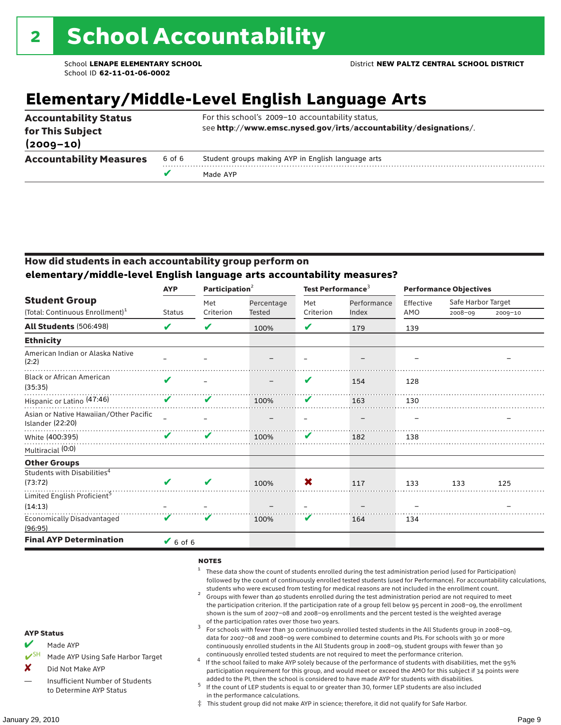# **Elementary/Middle-Level English Language Arts**

| <b>Accountability Status</b><br>for This Subject<br>$(2009 - 10)$ |        | For this school's 2009-10 accountability status,<br>see http://www.emsc.nysed.gov/irts/accountability/designations/. |
|-------------------------------------------------------------------|--------|----------------------------------------------------------------------------------------------------------------------|
| <b>Accountability Measures</b>                                    | 6 of 6 | Student groups making AYP in English language arts                                                                   |
|                                                                   |        | Made AYP                                                                                                             |

### How did students in each accountability group perform on **elementary/middle-level English language arts accountability measures?**

|                                                            | <b>AYP</b>                 | Participation $2$ |            | Test Performance <sup>3</sup> |             | <b>Performance Objectives</b> |                    |             |
|------------------------------------------------------------|----------------------------|-------------------|------------|-------------------------------|-------------|-------------------------------|--------------------|-------------|
| <b>Student Group</b>                                       |                            | Met               | Percentage | Met                           | Performance | Effective                     | Safe Harbor Target |             |
| (Total: Continuous Enrollment) <sup>1</sup>                | <b>Status</b>              | Criterion         | Tested     | Criterion                     | Index       | AMO                           | 2008-09            | $2009 - 10$ |
| <b>All Students (506:498)</b>                              | V                          | V                 | 100%       | V                             | 179         | 139                           |                    |             |
| <b>Ethnicity</b>                                           |                            |                   |            |                               |             |                               |                    |             |
| American Indian or Alaska Native<br>(2:2)                  |                            |                   |            |                               |             |                               |                    |             |
| <b>Black or African American</b><br>(35:35)                | $\boldsymbol{\mathcal{U}}$ |                   |            | V                             | 154         | 128                           |                    |             |
| Hispanic or Latino (47:46)                                 | V                          | V                 | 100%       | V                             | 163         | 130                           |                    |             |
| Asian or Native Hawaiian/Other Pacific<br>Islander (22:20) |                            |                   |            |                               |             |                               |                    |             |
| White (400:395)                                            | V                          | V                 | 100%       | V                             | 182         | 138                           |                    |             |
| Multiracial (0:0)                                          |                            |                   |            |                               |             |                               |                    |             |
| <b>Other Groups</b>                                        |                            |                   |            |                               |             |                               |                    |             |
| Students with Disabilities <sup>4</sup>                    |                            |                   |            |                               |             |                               |                    |             |
| (73:72)                                                    | $\boldsymbol{\mathcal{U}}$ | V                 | 100%       | X                             | 117         | 133                           | 133                | 125         |
| Limited English Proficient <sup>5</sup>                    |                            |                   |            |                               |             |                               |                    |             |
| (14:13)                                                    |                            |                   |            |                               |             |                               |                    |             |
| <b>Economically Disadvantaged</b><br>(96:95)               | V                          | V                 | 100%       | V                             | 164         | 134                           |                    |             |
| <b>Final AYP Determination</b>                             | $6$ of 6                   |                   |            |                               |             |                               |                    |             |

#### **NOTES**

- <sup>1</sup> These data show the count of students enrolled during the test administration period (used for Participation) followed by the count of continuously enrolled tested students (used for Performance). For accountability calculations,
- students who were excused from testing for medical reasons are not included in the enrollment count. <sup>2</sup> Groups with fewer than 40 students enrolled during the test administration period are not required to meet the participation criterion. If the participation rate of a group fell below 95 percent in 2008–09, the enrollment shown is the sum of 2007–08 and 2008–09 enrollments and the percent tested is the weighted average
- of the participation rates over those two years.<br><sup>3</sup> For schools with fewer than 30 continuously enrolled tested students in the All Students group in 2008–09, data for 2007–08 and 2008–09 were combined to determine counts and PIs. For schools with 30 or more continuously enrolled students in the All Students group in 2008–09, student groups with fewer than 30
- continuously enrolled tested students are not required to meet the performance criterion. <sup>4</sup> If the school failed to make AYP solely because of the performance of students with disabilities, met the 95% participation requirement for this group, and would meet or exceed the AMO for this subject if 34 points were added to the PI, then the school is considered to have made AYP for students with disabilities.
- $5$  If the count of LEP students is equal to or greater than 30, former LEP students are also included in the performance calculations.
- ‡ This student group did not make AYP in science; therefore, it did not qualify for Safe Harbor.
- $M$  Made AYP
	- Made AYP Using Safe Harbor Target
- X Did Not Make AYP
- Insufficient Number of Students to Determine AYP Status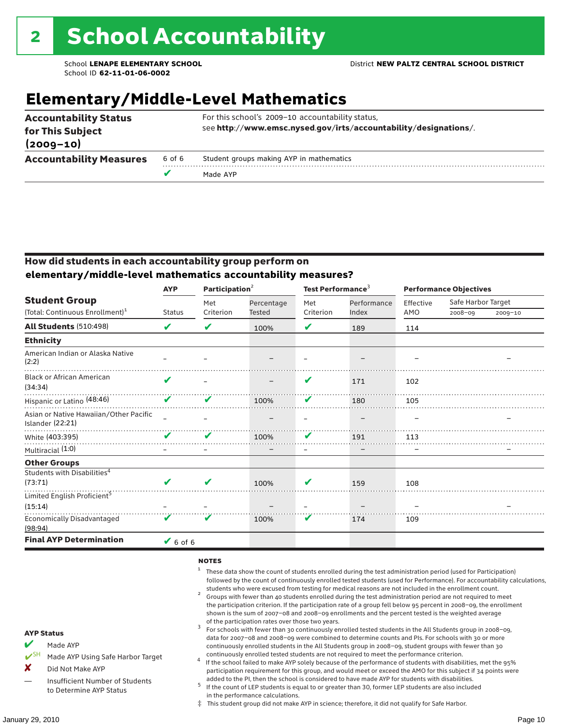# **Elementary/Middle-Level Mathematics**

| <b>Accountability Status</b><br>for This Subject<br>$(2009 - 10)$ |        | For this school's 2009-10 accountability status,<br>see http://www.emsc.nysed.gov/irts/accountability/designations/. |
|-------------------------------------------------------------------|--------|----------------------------------------------------------------------------------------------------------------------|
| <b>Accountability Measures</b>                                    | 6 of 6 | Student groups making AYP in mathematics                                                                             |
|                                                                   | v      | Made AYP                                                                                                             |

### How did students in each accountability group perform on **elementary/middle-level mathematics accountability measures?**

|                                                            | <b>AYP</b>    | Participation <sup>2</sup> |               | Test Performance <sup>3</sup> |             | <b>Performance Objectives</b> |                    |         |
|------------------------------------------------------------|---------------|----------------------------|---------------|-------------------------------|-------------|-------------------------------|--------------------|---------|
| <b>Student Group</b>                                       |               | Met                        | Percentage    | Met                           | Performance | Effective                     | Safe Harbor Target |         |
| (Total: Continuous Enrollment) <sup>1</sup>                | <b>Status</b> | Criterion                  | <b>Tested</b> | Criterion                     | Index       | AMO                           | $2008 - 09$        | 2009-10 |
| All Students (510:498)                                     | V             | V                          | 100%          | V                             | 189         | 114                           |                    |         |
| <b>Ethnicity</b>                                           |               |                            |               |                               |             |                               |                    |         |
| American Indian or Alaska Native<br>(2:2)                  |               |                            |               |                               |             |                               |                    |         |
| <b>Black or African American</b><br>(34:34)                | ✔             |                            |               | V                             | 171         | 102                           |                    |         |
| Hispanic or Latino (48:46)                                 | V             | V                          | 100%          | V                             | 180         | 105                           |                    |         |
| Asian or Native Hawaiian/Other Pacific<br>Islander (22:21) |               |                            |               |                               |             |                               |                    |         |
| White (403:395)                                            | V             | V                          | 100%          | V                             | 191         | 113                           |                    |         |
| Multiracial (1:0)                                          |               |                            |               |                               |             |                               |                    |         |
| <b>Other Groups</b>                                        |               |                            |               |                               |             |                               |                    |         |
| Students with Disabilities <sup>4</sup><br>(73:71)         | ✔             | ✔                          | 100%          | V                             | 159         | 108                           |                    |         |
| Limited English Proficient <sup>5</sup>                    |               |                            |               |                               |             |                               |                    |         |
| (15:14)                                                    |               |                            |               |                               |             |                               |                    |         |
| <b>Economically Disadvantaged</b><br>(98:94)               | V             | V                          | 100%          | V                             | 174         | 109                           |                    |         |
| <b>Final AYP Determination</b>                             | $V$ 6 of 6    |                            |               |                               |             |                               |                    |         |

#### **NOTES**

- <sup>1</sup> These data show the count of students enrolled during the test administration period (used for Participation) followed by the count of continuously enrolled tested students (used for Performance). For accountability calculations,
- students who were excused from testing for medical reasons are not included in the enrollment count.<br><sup>2</sup> Groups with fewer than 40 students enrolled during the test administration period are not required to meet the participation criterion. If the participation rate of a group fell below 95 percent in 2008–09, the enrollment shown is the sum of 2007–08 and 2008–09 enrollments and the percent tested is the weighted average
- of the participation rates over those two years.<br><sup>3</sup> For schools with fewer than 30 continuously enrolled tested students in the All Students group in 2008–09, data for 2007–08 and 2008–09 were combined to determine counts and PIs. For schools with 30 or more continuously enrolled students in the All Students group in 2008–09, student groups with fewer than 30
- continuously enrolled tested students are not required to meet the performance criterion. <sup>4</sup> If the school failed to make AYP solely because of the performance of students with disabilities, met the 95% participation requirement for this group, and would meet or exceed the AMO for this subject if 34 points were added to the PI, then the school is considered to have made AYP for students with disabilities.
- $5$  If the count of LEP students is equal to or greater than 30, former LEP students are also included in the performance calculations.
- ‡ This student group did not make AYP in science; therefore, it did not qualify for Safe Harbor.
- Made AYP
	- Made AYP Using Safe Harbor Target
- X Did Not Make AYP
- Insufficient Number of Students to Determine AYP Status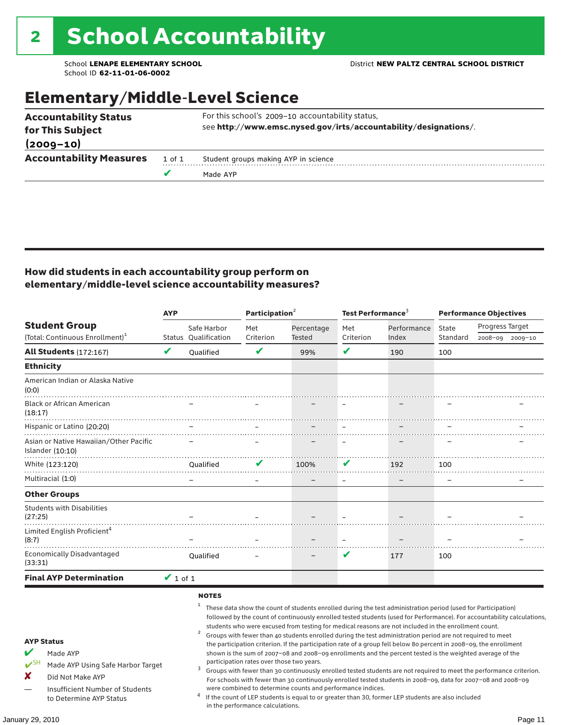## Elementary/Middle-Level Science

|                                |        | Made AYP                                                         |  |  |  |  |  |
|--------------------------------|--------|------------------------------------------------------------------|--|--|--|--|--|
| <b>Accountability Measures</b> | 1 of 1 | Student groups making AYP in science                             |  |  |  |  |  |
| $(2009 - 10)$                  |        |                                                                  |  |  |  |  |  |
| for This Subject               |        | see http://www.emsc.nysed.gov/irts/accountability/designations/. |  |  |  |  |  |
| <b>Accountability Status</b>   |        | For this school's 2009-10 accountability status,                 |  |  |  |  |  |

### How did students in each accountability group perform on elementary/middle-level science accountability measures?

|                                                                                                                                                                                   | <b>AYP</b>    |                                                        | Participation <sup>2</sup>                                                    |                                                            | Test Performance <sup>3</sup> |                                                                                                                                                                                                                                                                                                                                                                                                                                                                                                                                                                                                                                                                              | <b>Performance Objectives</b> |                                                                                                                                                                                                                                                                                                                                                                 |  |
|-----------------------------------------------------------------------------------------------------------------------------------------------------------------------------------|---------------|--------------------------------------------------------|-------------------------------------------------------------------------------|------------------------------------------------------------|-------------------------------|------------------------------------------------------------------------------------------------------------------------------------------------------------------------------------------------------------------------------------------------------------------------------------------------------------------------------------------------------------------------------------------------------------------------------------------------------------------------------------------------------------------------------------------------------------------------------------------------------------------------------------------------------------------------------|-------------------------------|-----------------------------------------------------------------------------------------------------------------------------------------------------------------------------------------------------------------------------------------------------------------------------------------------------------------------------------------------------------------|--|
| <b>Student Group</b>                                                                                                                                                              |               | Safe Harbor                                            | Met                                                                           | Percentage                                                 | Met                           | Performance                                                                                                                                                                                                                                                                                                                                                                                                                                                                                                                                                                                                                                                                  | State                         | Progress Target                                                                                                                                                                                                                                                                                                                                                 |  |
| (Total: Continuous Enrollment) <sup>1</sup>                                                                                                                                       |               | Status Qualification                                   | Criterion                                                                     | Tested                                                     | Criterion                     | Index                                                                                                                                                                                                                                                                                                                                                                                                                                                                                                                                                                                                                                                                        | Standard                      | 2008-09<br>$2009 - 10$                                                                                                                                                                                                                                                                                                                                          |  |
| <b>All Students (172:167)</b>                                                                                                                                                     | $\mathbf v$   | Qualified                                              | V                                                                             | 99%                                                        | V                             | 190                                                                                                                                                                                                                                                                                                                                                                                                                                                                                                                                                                                                                                                                          | 100                           |                                                                                                                                                                                                                                                                                                                                                                 |  |
| <b>Ethnicity</b>                                                                                                                                                                  |               |                                                        |                                                                               |                                                            |                               |                                                                                                                                                                                                                                                                                                                                                                                                                                                                                                                                                                                                                                                                              |                               |                                                                                                                                                                                                                                                                                                                                                                 |  |
| American Indian or Alaska Native<br>(0:0)                                                                                                                                         |               |                                                        |                                                                               |                                                            |                               |                                                                                                                                                                                                                                                                                                                                                                                                                                                                                                                                                                                                                                                                              |                               |                                                                                                                                                                                                                                                                                                                                                                 |  |
| <b>Black or African American</b><br>(18:17)                                                                                                                                       |               |                                                        |                                                                               |                                                            |                               |                                                                                                                                                                                                                                                                                                                                                                                                                                                                                                                                                                                                                                                                              |                               |                                                                                                                                                                                                                                                                                                                                                                 |  |
| Hispanic or Latino (20:20)                                                                                                                                                        |               |                                                        |                                                                               |                                                            |                               |                                                                                                                                                                                                                                                                                                                                                                                                                                                                                                                                                                                                                                                                              |                               |                                                                                                                                                                                                                                                                                                                                                                 |  |
| Asian or Native Hawaiian/Other Pacific<br>Islander (10:10)                                                                                                                        |               |                                                        |                                                                               |                                                            |                               |                                                                                                                                                                                                                                                                                                                                                                                                                                                                                                                                                                                                                                                                              |                               |                                                                                                                                                                                                                                                                                                                                                                 |  |
| White (123:120)                                                                                                                                                                   |               | Oualified                                              |                                                                               | 100%                                                       | V                             | 192                                                                                                                                                                                                                                                                                                                                                                                                                                                                                                                                                                                                                                                                          | 100                           |                                                                                                                                                                                                                                                                                                                                                                 |  |
| Multiracial (1:0)                                                                                                                                                                 |               |                                                        |                                                                               |                                                            |                               |                                                                                                                                                                                                                                                                                                                                                                                                                                                                                                                                                                                                                                                                              |                               |                                                                                                                                                                                                                                                                                                                                                                 |  |
| <b>Other Groups</b>                                                                                                                                                               |               |                                                        |                                                                               |                                                            |                               |                                                                                                                                                                                                                                                                                                                                                                                                                                                                                                                                                                                                                                                                              |                               |                                                                                                                                                                                                                                                                                                                                                                 |  |
| <b>Students with Disabilities</b><br>(27:25)                                                                                                                                      |               |                                                        |                                                                               |                                                            |                               |                                                                                                                                                                                                                                                                                                                                                                                                                                                                                                                                                                                                                                                                              |                               |                                                                                                                                                                                                                                                                                                                                                                 |  |
| Limited English Proficient <sup>4</sup><br>(8:7)                                                                                                                                  |               |                                                        |                                                                               |                                                            |                               |                                                                                                                                                                                                                                                                                                                                                                                                                                                                                                                                                                                                                                                                              |                               |                                                                                                                                                                                                                                                                                                                                                                 |  |
| <b>Economically Disadvantaged</b><br>(33:31)                                                                                                                                      |               | Qualified                                              |                                                                               |                                                            | V                             | 177                                                                                                                                                                                                                                                                                                                                                                                                                                                                                                                                                                                                                                                                          | 100                           |                                                                                                                                                                                                                                                                                                                                                                 |  |
| <b>Final AYP Determination</b>                                                                                                                                                    | $\vee$ 1 of 1 |                                                        |                                                                               |                                                            |                               |                                                                                                                                                                                                                                                                                                                                                                                                                                                                                                                                                                                                                                                                              |                               |                                                                                                                                                                                                                                                                                                                                                                 |  |
| <b>AYP Status</b><br>V<br>Made AYP<br>$V^{\text{SH}}$<br>Made AYP Using Safe Harbor Target<br>X<br>Did Not Make AYP<br>Insufficient Number of Students<br>to Determine AYP Status |               | <b>NOTES</b><br>1<br>$\overline{\mathbf{c}}$<br>3<br>4 | participation rates over those two years.<br>in the performance calculations. | were combined to determine counts and performance indices. |                               | These data show the count of students enrolled during the test administration period (used for Participation)<br>students who were excused from testing for medical reasons are not included in the enrollment count.<br>Groups with fewer than 40 students enrolled during the test administration period are not required to meet<br>the participation criterion. If the participation rate of a group fell below 80 percent in 2008-09, the enrollment<br>shown is the sum of 2007-08 and 2008-09 enrollments and the percent tested is the weighted average of the<br>If the count of LEP students is equal to or greater than 30, former LEP students are also included |                               | followed by the count of continuously enrolled tested students (used for Performance). For accountability calculations,<br>Groups with fewer than 30 continuously enrolled tested students are not required to meet the performance criterion.<br>For schools with fewer than 30 continuously enrolled tested students in 2008-09, data for 2007-08 and 2008-09 |  |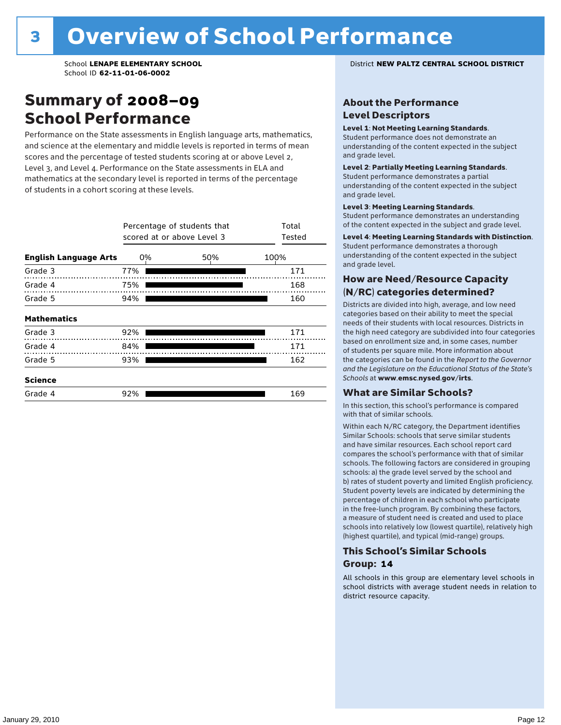### Summary of 2008–09 School Performance

Performance on the State assessments in English language arts, mathematics, and science at the elementary and middle levels is reported in terms of mean scores and the percentage of tested students scoring at or above Level 2, Level 3, and Level 4. Performance on the State assessments in ELA and mathematics at the secondary level is reported in terms of the percentage of students in a cohort scoring at these levels.

|                              | Percentage of students that<br>scored at or above Level 3 | Total<br>Tested |      |
|------------------------------|-----------------------------------------------------------|-----------------|------|
| <b>English Language Arts</b> | 0%                                                        | 50%             | 100% |
| Grade 3                      | 77%                                                       |                 | 171  |
| Grade 4                      | 75%                                                       |                 | 168  |
| Grade 5                      | 94%                                                       |                 | 160  |
| <b>Mathematics</b>           |                                                           |                 |      |
| Grade 3                      | 92%                                                       |                 | 171  |
| Grade 4                      | 84%                                                       |                 | 171  |
| Grade 5                      | 93%                                                       |                 | 162  |
| <b>Science</b>               |                                                           |                 |      |
| Grade 4                      | 92%                                                       |                 | 169  |

School **LENAPE ELEMENTARY SCHOOL** District **NEW PALTZ CENTRAL SCHOOL DISTRICT**

### About the Performance Level Descriptors

#### Level 1: Not Meeting Learning Standards.

Student performance does not demonstrate an understanding of the content expected in the subject and grade level.

#### Level 2: Partially Meeting Learning Standards.

Student performance demonstrates a partial understanding of the content expected in the subject and grade level.

#### Level 3: Meeting Learning Standards.

Student performance demonstrates an understanding of the content expected in the subject and grade level.

#### Level 4: Meeting Learning Standards with Distinction.

Student performance demonstrates a thorough understanding of the content expected in the subject and grade level.

### How are Need/Resource Capacity (N/RC) categories determined?

Districts are divided into high, average, and low need categories based on their ability to meet the special needs of their students with local resources. Districts in the high need category are subdivided into four categories based on enrollment size and, in some cases, number of students per square mile. More information about the categories can be found in the *Report to the Governor and the Legislature on the Educational Status of the State's Schools* at www.emsc.nysed.gov/irts.

#### What are Similar Schools?

In this section, this school's performance is compared with that of similar schools.

Within each N/RC category, the Department identifies Similar Schools: schools that serve similar students and have similar resources. Each school report card compares the school's performance with that of similar schools. The following factors are considered in grouping schools: a) the grade level served by the school and b) rates of student poverty and limited English proficiency. Student poverty levels are indicated by determining the percentage of children in each school who participate in the free-lunch program. By combining these factors, a measure of student need is created and used to place schools into relatively low (lowest quartile), relatively high (highest quartile), and typical (mid-range) groups.

### This School's Similar Schools Group: **14**

All schools in this group are elementary level schools in school districts with average student needs in relation to district resource capacity.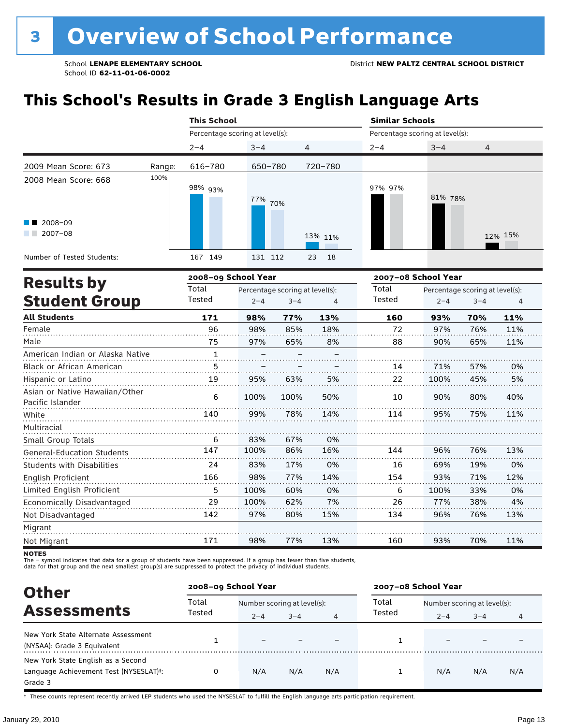# **This School's Results in Grade 3 English Language Arts**

|                                                           |        | <b>This School</b>              |         |                | <b>Similar Schools</b><br>Percentage scoring at level(s): |         |         |  |
|-----------------------------------------------------------|--------|---------------------------------|---------|----------------|-----------------------------------------------------------|---------|---------|--|
|                                                           |        | Percentage scoring at level(s): |         |                |                                                           |         |         |  |
|                                                           |        | $2 - 4$                         | $3 - 4$ | $\overline{4}$ | $2 - 4$                                                   | $3 - 4$ | 4       |  |
| 2009 Mean Score: 673                                      | Range: | 616-780                         | 650-780 | 720-780        |                                                           |         |         |  |
| 2008 Mean Score: 668<br>$\blacksquare$ 2008-09<br>2007-08 | 100%   | 98% <sub>93%</sub>              | 77% 70% | 13% 11%        | 97% 97%                                                   | 81% 78% | 12% 15% |  |
| Number of Tested Students:                                |        | 167 149                         | 131 112 | 23<br>18       |                                                           |         |         |  |

|                                                    |        | 2008-09 School Year |                                 |     | 2007-08 School Year |         |                                 |     |
|----------------------------------------------------|--------|---------------------|---------------------------------|-----|---------------------|---------|---------------------------------|-----|
| <b>Results by</b>                                  | Total  |                     | Percentage scoring at level(s): |     | Total               |         | Percentage scoring at level(s): |     |
| <b>Student Group</b>                               | Tested | $2 - 4$             | $3 - 4$                         | 4   | <b>Tested</b>       | $2 - 4$ | $3 - 4$                         | 4   |
| <b>All Students</b>                                | 171    | 98%                 | 77%                             | 13% | 160                 | 93%     | 70%                             | 11% |
| Female                                             | 96     | 98%                 | 85%                             | 18% | 72                  | 97%     | 76%                             | 11% |
| Male                                               | 75     | 97%                 | 65%                             | 8%  | 88                  | 90%     | 65%                             | 11% |
| American Indian or Alaska Native                   | 1      |                     |                                 |     |                     |         |                                 |     |
| Black or African American                          | 5      |                     |                                 |     | 14                  | 71%     | 57%                             | 0%  |
| Hispanic or Latino                                 | 19     | 95%                 | 63%                             | 5%  | 22                  | 100%    | 45%                             | 5%  |
| Asian or Native Hawaiian/Other<br>Pacific Islander | 6      | 100%                | 100%                            | 50% | 10                  | 90%     | 80%                             | 40% |
| White                                              | 140    | 99%                 | 78%                             | 14% | 114                 | 95%     | 75%                             | 11% |
| Multiracial                                        |        |                     |                                 |     |                     |         |                                 |     |
| Small Group Totals                                 | 6      | 83%                 | 67%                             | 0%  |                     |         |                                 |     |
| <b>General-Education Students</b>                  | 147    | 100%                | 86%                             | 16% | 144                 | 96%     | 76%                             | 13% |
| <b>Students with Disabilities</b>                  | 24     | 83%                 | 17%                             | 0%  | 16                  | 69%     | 19%                             | 0%  |
| English Proficient                                 | 166    | 98%                 | 77%                             | 14% | 154                 | 93%     | 71%                             | 12% |
| Limited English Proficient                         | 5      | 100%                | 60%                             | 0%  | 6                   | 100%    | 33%                             | 0%  |
| Economically Disadvantaged                         | 29     | 100%                | 62%                             | 7%  | 26                  | 77%     | 38%                             | 4%  |
| Not Disadvantaged                                  | 142    | 97%                 | 80%                             | 15% | 134                 | 96%     | 76%                             | 13% |
| Migrant                                            |        |                     |                                 |     |                     |         |                                 |     |
| Not Migrant                                        | 171    | 98%                 | 77%                             | 13% | 160                 | 93%     | 70%                             | 11% |

**NOTES** 

The – symbol indicates that data for a group of students have been suppressed. If a group has fewer than five students,<br>data for that group and the next smallest group(s) are suppressed to protect the privacy of individual

| <b>Other</b>                                                                            | 2008-09 School Year |                                                        |     |     | 2007-08 School Year |                                        |         |     |
|-----------------------------------------------------------------------------------------|---------------------|--------------------------------------------------------|-----|-----|---------------------|----------------------------------------|---------|-----|
| <b>Assessments</b>                                                                      | Total<br>Tested     | Number scoring at level(s):<br>$3 - 4$<br>$2 - 4$<br>4 |     |     | Total<br>Tested     | Number scoring at level(s):<br>$2 - 4$ | $3 - 4$ | 4   |
| New York State Alternate Assessment<br>(NYSAA): Grade 3 Equivalent                      |                     |                                                        |     |     |                     |                                        |         |     |
| New York State English as a Second<br>Language Achievement Test (NYSESLAT)t:<br>Grade 3 |                     | N/A                                                    | N/A | N/A |                     | N/A                                    | N/A     | N/A |

† These counts represent recently arrived LEP students who used the NYSESLAT to fulfill the English language arts participation requirement.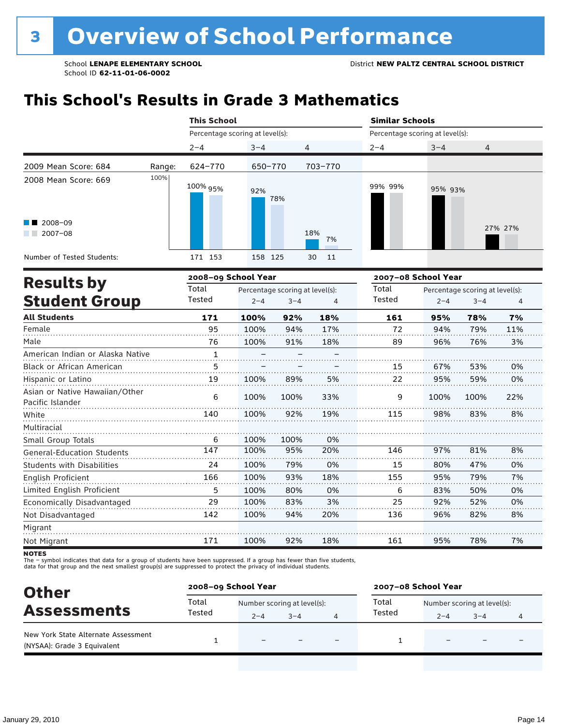# **This School's Results in Grade 3 Mathematics**

|                                                                              |        | <b>This School</b>                        |            |                | <b>Similar Schools</b><br>Percentage scoring at level(s): |         |         |  |
|------------------------------------------------------------------------------|--------|-------------------------------------------|------------|----------------|-----------------------------------------------------------|---------|---------|--|
|                                                                              |        | Percentage scoring at level(s):           |            |                |                                                           |         |         |  |
|                                                                              |        | $2 - 4$                                   | $3 - 4$    | $\overline{4}$ | $2 - 4$                                                   | $3 - 4$ | 4       |  |
| 2009 Mean Score: 684                                                         | Range: | 624-770                                   | 650-770    | 703-770        |                                                           |         |         |  |
| 2008 Mean Score: 669<br>$\blacksquare$ 2008-09<br>2007-08<br><b>Contract</b> | 100%   | 100% <sub>95%</sub>                       | 92%<br>78% | 18%<br>7%      | 99% 99%                                                   | 95% 93% | 27% 27% |  |
| Number of Tested Students:                                                   |        | 171 153                                   | 158 125    | 30<br>11       |                                                           |         |         |  |
|                                                                              |        | $\sim$ $\sim$ $\sim$ $\sim$ $\sim$ $\sim$ |            |                |                                                           | ------  |         |  |

|                                                    |              | 2008-09 School Year |                                 |     | 2007-08 School Year |         |                                 |     |
|----------------------------------------------------|--------------|---------------------|---------------------------------|-----|---------------------|---------|---------------------------------|-----|
| <b>Results by</b>                                  | Total        |                     | Percentage scoring at level(s): |     | Total               |         | Percentage scoring at level(s): |     |
| <b>Student Group</b>                               | Tested       | $2 - 4$             | $3 - 4$                         | 4   | Tested              | $2 - 4$ | $3 - 4$                         | 4   |
| <b>All Students</b>                                | 171          | 100%                | 92%                             | 18% | 161                 | 95%     | 78%                             | 7%  |
| Female                                             | 95           | 100%                | 94%                             | 17% | 72                  | 94%     | 79%                             | 11% |
| Male                                               | 76           | 100%                | 91%                             | 18% | 89                  | 96%     | 76%                             | 3%  |
| American Indian or Alaska Native                   | $\mathbf{1}$ |                     |                                 |     |                     |         |                                 |     |
| Black or African American                          | 5            |                     |                                 |     | 15                  | 67%     | 53%                             | 0%  |
| Hispanic or Latino                                 | 19           | 100%                | 89%                             | 5%  | 22                  | 95%     | 59%                             | 0%  |
| Asian or Native Hawaiian/Other<br>Pacific Islander | 6            | 100%                | 100%                            | 33% | 9                   | 100%    | 100%                            | 22% |
| White                                              | 140          | 100%                | 92%                             | 19% | 115                 | 98%     | 83%                             | 8%  |
| Multiracial                                        |              |                     |                                 |     |                     |         |                                 |     |
| Small Group Totals                                 | 6            | 100%                | 100%                            | 0%  |                     |         |                                 |     |
| <b>General-Education Students</b>                  | 147          | 100%                | 95%                             | 20% | 146                 | 97%     | 81%                             | 8%  |
| <b>Students with Disabilities</b>                  | 24           | 100%                | 79%                             | 0%  | 15                  | 80%     | 47%                             | 0%  |
| English Proficient                                 | 166          | 100%                | 93%                             | 18% | 155                 | 95%     | 79%                             | 7%  |
| Limited English Proficient                         | 5            | 100%                | 80%                             | 0%  | 6                   | 83%     | 50%                             | 0%  |
| Economically Disadvantaged                         | 29           | 100%                | 83%                             | 3%  | 25                  | 92%     | 52%                             | 0%  |
| Not Disadvantaged                                  | 142          | 100%                | 94%                             | 20% | 136                 | 96%     | 82%                             | 8%  |
| Migrant                                            |              |                     |                                 |     |                     |         |                                 |     |
| Not Migrant                                        | 171          | 100%                | 92%                             | 18% | 161                 | 95%     | 78%                             | 7%  |
|                                                    |              |                     |                                 |     |                     |         |                                 |     |

NOTES<br>The – symbol indicates that data for a group of students have been suppressed. If a group has fewer than five students,<br>data for that group and the next smallest group(s) are suppressed to protect the privacy of indi

| <b>Other</b>                                                       | 2008-09 School Year |                             |         | 2007-08 School Year |                             |         |   |
|--------------------------------------------------------------------|---------------------|-----------------------------|---------|---------------------|-----------------------------|---------|---|
| <b>Assessments</b>                                                 | Total               | Number scoring at level(s): |         | Total               | Number scoring at level(s): |         |   |
|                                                                    | Tested              | $2 - 4$                     | $3 - 4$ | Tested              | $2 - 4$                     | $3 - 4$ | 4 |
| New York State Alternate Assessment<br>(NYSAA): Grade 3 Equivalent |                     |                             |         |                     |                             |         |   |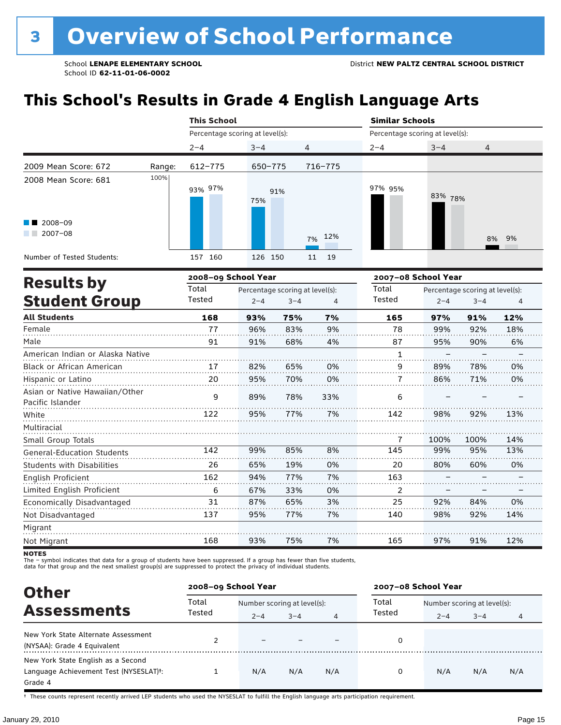# **This School's Results in Grade 4 English Language Arts**

|                                                                   |        | <b>This School</b>              |            |          | <b>Similar Schools</b><br>Percentage scoring at level(s): |         |       |  |
|-------------------------------------------------------------------|--------|---------------------------------|------------|----------|-----------------------------------------------------------|---------|-------|--|
|                                                                   |        | Percentage scoring at level(s): |            |          |                                                           |         |       |  |
|                                                                   |        | $2 - 4$                         | $3 - 4$    | 4        | $2 - 4$                                                   | $3 - 4$ | 4     |  |
| 2009 Mean Score: 672                                              | Range: | 612-775                         | 650-775    | 716-775  |                                                           |         |       |  |
| 2008 Mean Score: 681<br>$\blacksquare$ 2008-09<br>2007-08<br>a ka | 100%   | 93% 97%                         | 91%<br>75% | 7% 12%   | 97% 95%                                                   | 83% 78% | 8% 9% |  |
| Number of Tested Students:                                        |        | 157 160                         | 126 150    | 19<br>11 |                                                           |         |       |  |

| <b>Results by</b>                                  |        | 2008-09 School Year |                                 |     | 2007-08 School Year |         |                                 |     |
|----------------------------------------------------|--------|---------------------|---------------------------------|-----|---------------------|---------|---------------------------------|-----|
|                                                    | Total  |                     | Percentage scoring at level(s): |     | Total               |         | Percentage scoring at level(s): |     |
| <b>Student Group</b>                               | Tested | $2 - 4$             | $3 - 4$                         | 4   | Tested              | $2 - 4$ | $3 - 4$                         | 4   |
| <b>All Students</b>                                | 168    | 93%                 | 75%                             | 7%  | 165                 | 97%     | 91%                             | 12% |
| Female                                             | 77     | 96%                 | 83%                             | 9%  | 78                  | 99%     | 92%                             | 18% |
| Male                                               | 91     | 91%                 | 68%                             | 4%  | 87                  | 95%     | 90%                             | 6%  |
| American Indian or Alaska Native                   |        |                     |                                 |     | 1                   |         |                                 |     |
| <b>Black or African American</b>                   | 17     | 82%                 | 65%                             | 0%  | 9                   | 89%     | 78%                             | 0%  |
| Hispanic or Latino                                 | 20     | 95%                 | 70%                             | 0%  | 7                   | 86%     | 71%                             | 0%  |
| Asian or Native Hawaiian/Other<br>Pacific Islander | 9      | 89%                 | 78%                             | 33% | 6                   |         |                                 |     |
| White                                              | 122    | 95%                 | 77%                             | 7%  | 142                 | 98%     | 92%                             | 13% |
| Multiracial                                        |        |                     |                                 |     |                     |         |                                 |     |
| Small Group Totals                                 |        |                     |                                 |     | 7                   | 100%    | 100%                            | 14% |
| <b>General-Education Students</b>                  | 142    | 99%                 | 85%                             | 8%  | 145                 | 99%     | 95%                             | 13% |
| <b>Students with Disabilities</b>                  | 26     | 65%                 | 19%                             | 0%  | 20                  | 80%     | 60%                             | 0%  |
| English Proficient                                 | 162    | 94%                 | 77%                             | 7%  | 163                 |         |                                 |     |
| Limited English Proficient                         | 6      | 67%                 | 33%                             | 0%  | 2                   |         |                                 |     |
| Economically Disadvantaged                         | 31     | 87%                 | 65%                             | 3%  | 25                  | 92%     | 84%                             | 0%  |
| Not Disadvantaged                                  | 137    | 95%                 | 77%                             | 7%  | 140                 | 98%     | 92%                             | 14% |
| Migrant                                            |        |                     |                                 |     |                     |         |                                 |     |
| Not Migrant                                        | 168    | 93%                 | 75%                             | 7%  | 165                 | 97%     | 91%                             | 12% |

**NOTES** 

The – symbol indicates that data for a group of students have been suppressed. If a group has fewer than five students,<br>data for that group and the next smallest group(s) are suppressed to protect the privacy of individual

| <b>Other</b>                                                                                         | 2008-09 School Year |                             |         |     | 2007-08 School Year |                             |         |     |
|------------------------------------------------------------------------------------------------------|---------------------|-----------------------------|---------|-----|---------------------|-----------------------------|---------|-----|
|                                                                                                      | Total               | Number scoring at level(s): |         |     | Total               | Number scoring at level(s): |         |     |
| <b>Assessments</b>                                                                                   | Tested              | $2 - 4$                     | $3 - 4$ | 4   | Tested              | $2 - 4$                     | $3 - 4$ | 4   |
| New York State Alternate Assessment<br>(NYSAA): Grade 4 Equivalent                                   |                     |                             |         |     | 0                   |                             |         |     |
| New York State English as a Second<br>Language Achievement Test (NYSESLAT) <sup>+</sup> :<br>Grade 4 |                     | N/A                         | N/A     | N/A | 0                   | N/A                         | N/A     | N/A |

† These counts represent recently arrived LEP students who used the NYSESLAT to fulfill the English language arts participation requirement.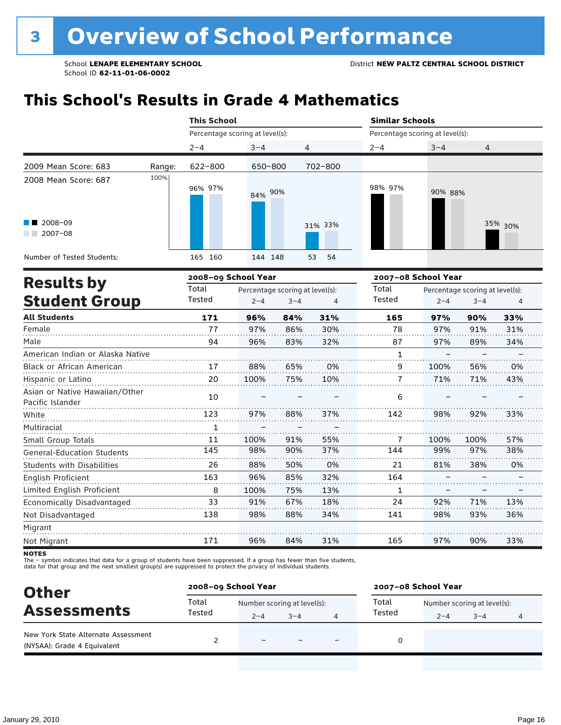# **This School's Results in Grade 4 Mathematics**

|                                                                          |        | <b>This School</b>              |         |          | <b>Similar Schools</b> |                                 |         |  |  |  |
|--------------------------------------------------------------------------|--------|---------------------------------|---------|----------|------------------------|---------------------------------|---------|--|--|--|
|                                                                          |        | Percentage scoring at level(s): |         |          |                        | Percentage scoring at level(s): |         |  |  |  |
|                                                                          |        | $2 - 4$                         | $3 - 4$ | 4        | $2 - 4$                | $3 - 4$                         | 4       |  |  |  |
| 2009 Mean Score: 683                                                     | Range: | 622-800                         | 650-800 | 702-800  |                        |                                 |         |  |  |  |
| 2008 Mean Score: 687<br>$\blacksquare$ 2008-09<br>2007-08<br>a kacamatan | 100%   | 96% 97%                         | 84% 90% | 31% 33%  | 98% 97%                | 90% 88%                         | 35% 30% |  |  |  |
| Number of Tested Students:                                               |        | 160<br>165                      | 144 148 | 53<br>54 |                        |                                 |         |  |  |  |
| Deedle ku                                                                |        | 2008-09 School Year             |         |          |                        | 2007-08 School Year             |         |  |  |  |

|        |         |         |                     | 2007–08 School Year             |         |         |                                 |
|--------|---------|---------|---------------------|---------------------------------|---------|---------|---------------------------------|
| Total  |         |         |                     | Total                           |         |         |                                 |
| Tested | $2 - 4$ | $3 - 4$ | 4                   | <b>Tested</b>                   | $2 - 4$ | $3 - 4$ | 4                               |
| 171    | 96%     | 84%     | 31%                 | 165                             | 97%     | 90%     | 33%                             |
| 77     | 97%     | 86%     | 30%                 | 78                              | 97%     | 91%     | 31%                             |
| 94     | 96%     | 83%     | 32%                 | 87                              | 97%     | 89%     | 34%                             |
|        |         |         |                     | 1                               |         |         |                                 |
| 17     | 88%     | 65%     | 0%                  | 9                               | 100%    | 56%     | 0%                              |
| 20     | 100%    | 75%     | 10%                 | 7                               | 71%     | 71%     | 43%                             |
| 10     |         |         |                     | 6                               |         |         |                                 |
| 123    | 97%     | 88%     | 37%                 | 142                             | 98%     | 92%     | 33%                             |
|        |         |         |                     |                                 |         |         |                                 |
| 11     | 100%    | 91%     | 55%                 | 7                               | 100%    | 100%    | 57%                             |
| 145    | 98%     | 90%     | 37%                 | 144                             | 99%     | 97%     | 38%                             |
| 26     | 88%     | 50%     | 0%                  | 21                              | 81%     | 38%     | 0%                              |
| 163    | 96%     | 85%     | 32%                 | 164                             |         |         |                                 |
| 8      | 100%    | 75%     | 13%                 | 1                               |         |         |                                 |
| 33     | 91%     | 67%     | 18%                 | 24                              | 92%     | 71%     | 13%                             |
| 138    | 98%     | 88%     | 34%                 | 141                             | 98%     | 93%     | 36%                             |
|        |         |         |                     |                                 |         |         |                                 |
| 171    | 96%     | 84%     | 31%                 | 165                             | 97%     | 90%     | 33%                             |
|        |         |         | 2008–09 School Year | Percentage scoring at level(s): |         |         | Percentage scoring at level(s): |

**NOTES** 

The – symbol indicates that data for a group of students have been suppressed. If a group has fewer than five students,<br>data for that group and the next smallest group(s) are suppressed to protect the privacy of individual

| <b>Other</b>                                                       | 2008-09 School Year |                             |         |                          | 2007-08 School Year |                             |         |   |  |
|--------------------------------------------------------------------|---------------------|-----------------------------|---------|--------------------------|---------------------|-----------------------------|---------|---|--|
|                                                                    | Total<br>Tested     | Number scoring at level(s): |         |                          | Total               | Number scoring at level(s): |         |   |  |
| <b>Assessments</b>                                                 |                     | $2 - 4$                     | $3 - 4$ |                          | Tested              | $2 - 4$                     | $3 - 4$ | 4 |  |
| New York State Alternate Assessment<br>(NYSAA): Grade 4 Equivalent |                     | $\overline{\phantom{0}}$    |         | $\overline{\phantom{0}}$ |                     |                             |         |   |  |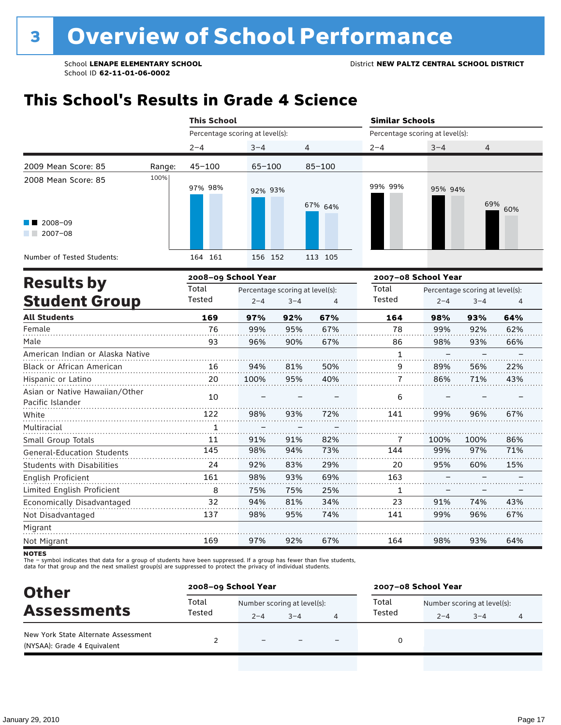### **This School's Results in Grade 4 Science**

|                                                                                 |        | <b>This School</b>              |            |            |         | <b>Similar Schools</b><br>Percentage scoring at level(s): |            |  |  |  |
|---------------------------------------------------------------------------------|--------|---------------------------------|------------|------------|---------|-----------------------------------------------------------|------------|--|--|--|
|                                                                                 |        | Percentage scoring at level(s): |            |            |         |                                                           |            |  |  |  |
|                                                                                 |        | $2 - 4$                         | $3 - 4$    | 4          | $2 - 4$ | $3 - 4$                                                   | 4          |  |  |  |
| 2009 Mean Score: 85                                                             | Range: | $45 - 100$                      | $65 - 100$ | $85 - 100$ |         |                                                           |            |  |  |  |
| 2008 Mean Score: 85<br>$\blacksquare$ 2008-09<br>$2007 - 08$<br><b>Contract</b> | 100%   | 97% 98%                         | 92% 93%    | 67% 64%    | 99% 99% | 95% 94%                                                   | 69%<br>60% |  |  |  |
| Number of Tested Students:                                                      |        | 164 161                         | 156 152    | 113 105    |         |                                                           |            |  |  |  |
| 2008-09 School Year<br><b>Doculte hy</b>                                        |        |                                 |            |            |         | 2007-08 School Year                                       |            |  |  |  |

|        |         |         |                     | 2007–08 School Year             |         |         |                                 |
|--------|---------|---------|---------------------|---------------------------------|---------|---------|---------------------------------|
| Total  |         |         |                     | Total                           |         |         |                                 |
| Tested | $2 - 4$ | $3 - 4$ | 4                   | Tested                          | $2 - 4$ | $3 - 4$ | 4                               |
| 169    | 97%     | 92%     | 67%                 | 164                             | 98%     | 93%     | 64%                             |
| 76     | 99%     | 95%     | 67%                 | 78                              | 99%     | 92%     | 62%                             |
| 93     | 96%     | 90%     | 67%                 | 86                              | 98%     | 93%     | 66%                             |
|        |         |         |                     | 1                               |         |         |                                 |
| 16     | 94%     | 81%     | 50%                 | 9                               | 89%     | 56%     | 22%                             |
| 20     | 100%    | 95%     | 40%                 | 7                               | 86%     | 71%     | 43%                             |
| 10     |         |         |                     | 6                               |         |         |                                 |
| 122    | 98%     | 93%     | 72%                 | 141                             | 99%     | 96%     | 67%                             |
|        |         |         |                     |                                 |         |         |                                 |
| 11     | 91%     | 91%     | 82%                 | 7                               | 100%    | 100%    | 86%                             |
| 145    | 98%     | 94%     | 73%                 | 144                             | 99%     | 97%     | 71%                             |
| 24     | 92%     | 83%     | 29%                 | 20                              | 95%     | 60%     | 15%                             |
| 161    | 98%     | 93%     | 69%                 | 163                             |         |         |                                 |
| 8      | 75%     | 75%     | 25%                 | 1                               |         |         |                                 |
| 32     | 94%     | 81%     | 34%                 | 23                              | 91%     | 74%     | 43%                             |
| 137    | 98%     | 95%     | 74%                 | 141                             | 99%     | 96%     | 67%                             |
|        |         |         |                     |                                 |         |         |                                 |
| 169    | 97%     | 92%     | 67%                 | 164                             | 98%     | 93%     | 64%                             |
|        |         |         | 2008–09 School Year | Percentage scoring at level(s): |         |         | Percentage scoring at level(s): |

**NOTES** 

The – symbol indicates that data for a group of students have been suppressed. If a group has fewer than five students,<br>data for that group and the next smallest group(s) are suppressed to protect the privacy of individual

| <b>Other</b>                                                       |                 | 2008-09 School Year         |         |  |        | 2007-08 School Year         |         |   |  |
|--------------------------------------------------------------------|-----------------|-----------------------------|---------|--|--------|-----------------------------|---------|---|--|
| <b>Assessments</b>                                                 | Total<br>Tested | Number scoring at level(s): |         |  | Total  | Number scoring at level(s): |         |   |  |
|                                                                    |                 | $2 - 4$                     | $3 - 4$ |  | Tested | $2 - 4$                     | $3 - 4$ | 4 |  |
| New York State Alternate Assessment<br>(NYSAA): Grade 4 Equivalent |                 | $\equiv$                    |         |  | 0      |                             |         |   |  |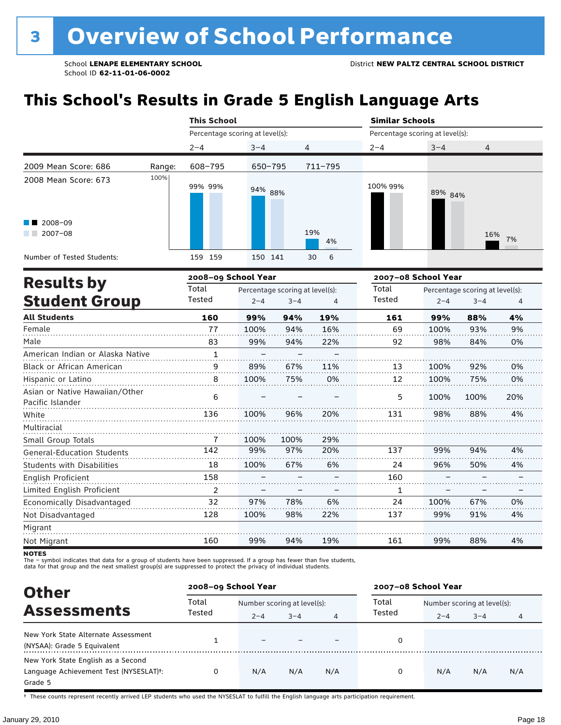# **This School's Results in Grade 5 English Language Arts**

|                                                               |                     | <b>This School</b>              |         |                     | <b>Similar Schools</b> |                                 |           |  |  |  |
|---------------------------------------------------------------|---------------------|---------------------------------|---------|---------------------|------------------------|---------------------------------|-----------|--|--|--|
|                                                               |                     | Percentage scoring at level(s): |         |                     |                        | Percentage scoring at level(s): |           |  |  |  |
|                                                               |                     | $2 - 4$                         | $3 - 4$ | 4                   | $2 - 4$                | $3 - 4$                         | 4         |  |  |  |
| 2009 Mean Score: 686                                          | Range:              | 608-795                         | 650-795 | 711-795             |                        |                                 |           |  |  |  |
| 2008 Mean Score: 673<br>$\blacksquare$ 2008-09<br>$2007 - 08$ | 100%                | 99% 99%                         | 94% 88% | 19%<br>4%           | 100% 99%               | 89% 84%                         | 16%<br>7% |  |  |  |
| Number of Tested Students:                                    |                     | 159<br>159                      | 150 141 | $6^{\circ}$<br>30   |                        |                                 |           |  |  |  |
| <b>Results by</b>                                             | 2008-09 School Year |                                 |         | 2007-08 School Year |                        |                                 |           |  |  |  |

|        |         |         |                     | 2007–08 School Year                  |         |         |                                         |  |
|--------|---------|---------|---------------------|--------------------------------------|---------|---------|-----------------------------------------|--|
| Total  |         |         |                     | Total                                |         |         |                                         |  |
| Tested | $2 - 4$ | $3 - 4$ |                     | Tested                               | $2 - 4$ | $3 - 4$ | 4                                       |  |
| 160    | 99%     | 94%     | 19%                 | 161                                  | 99%     | 88%     | 4%                                      |  |
| 77     | 100%    | 94%     | 16%                 | 69                                   | 100%    | 93%     | 9%                                      |  |
| 83     | 99%     | 94%     | 22%                 | 92                                   | 98%     | 84%     | 0%                                      |  |
| 1      |         |         |                     |                                      |         |         |                                         |  |
| 9      | 89%     | 67%     | 11%                 | 13                                   | 100%    | 92%     | 0%                                      |  |
| 8      | 100%    | 75%     | 0%                  | 12                                   | 100%    | 75%     | 0%                                      |  |
|        |         |         |                     |                                      |         |         | 20%                                     |  |
|        |         |         |                     |                                      |         |         |                                         |  |
| 136    | 100%    | 96%     | 20%                 | 131                                  | 98%     | 88%     | 4%                                      |  |
|        |         |         |                     |                                      |         |         |                                         |  |
| 7      | 100%    | 100%    | 29%                 |                                      |         |         |                                         |  |
| 142    | 99%     | 97%     | 20%                 | 137                                  | 99%     | 94%     | 4%                                      |  |
| 18     | 100%    | 67%     | 6%                  | 24                                   | 96%     | 50%     | 4%                                      |  |
| 158    |         |         |                     | 160                                  |         |         |                                         |  |
| 2      |         |         |                     | 1                                    |         |         |                                         |  |
| 32     | 97%     | 78%     | 6%                  | 24                                   | 100%    | 67%     | 0%                                      |  |
| 128    | 100%    | 98%     | 22%                 | 137                                  | 99%     | 91%     | 4%                                      |  |
|        |         |         |                     |                                      |         |         |                                         |  |
| 160    | 99%     | 94%     | 19%                 | 161                                  | 99%     | 88%     | 4%                                      |  |
|        | 6       |         | 2008–09 School Year | Percentage scoring at level(s):<br>4 | 5       | 100%    | Percentage scoring at level(s):<br>100% |  |

**NOTES** 

The – symbol indicates that data for a group of students have been suppressed. If a group has fewer than five students,<br>data for that group and the next smallest group(s) are suppressed to protect the privacy of individual

| <b>Other</b>                                                                            |                 | 2008-09 School Year         |         |     | 2007-08 School Year |                             |         |     |  |
|-----------------------------------------------------------------------------------------|-----------------|-----------------------------|---------|-----|---------------------|-----------------------------|---------|-----|--|
|                                                                                         | Total<br>Tested | Number scoring at level(s): |         |     | Total               | Number scoring at level(s): |         |     |  |
| <b>Assessments</b>                                                                      |                 | $2 - 4$                     | $3 - 4$ | 4   | Tested              | $2 - 4$                     | $3 - 4$ | 4   |  |
| New York State Alternate Assessment<br>(NYSAA): Grade 5 Equivalent                      |                 |                             |         |     |                     |                             |         |     |  |
| New York State English as a Second<br>Language Achievement Test (NYSESLAT)t:<br>Grade 5 |                 | N/A                         | N/A     | N/A | $\Omega$            | N/A                         | N/A     | N/A |  |

† These counts represent recently arrived LEP students who used the NYSESLAT to fulfill the English language arts participation requirement.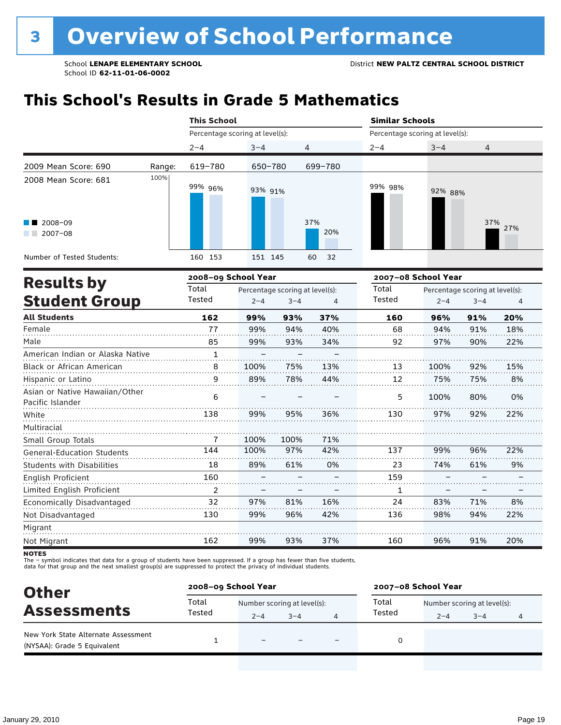## **This School's Results in Grade 5 Mathematics**

|                                             |        | <b>This School</b>              |         |            | <b>Similar Schools</b><br>Percentage scoring at level(s): |         |            |  |  |
|---------------------------------------------|--------|---------------------------------|---------|------------|-----------------------------------------------------------|---------|------------|--|--|
|                                             |        | Percentage scoring at level(s): |         |            |                                                           |         |            |  |  |
|                                             |        | $2 - 4$                         | $3 - 4$ | 4          | $2 - 4$                                                   | $3 - 4$ | 4          |  |  |
| 2009 Mean Score: 690                        | Range: | 619-780                         | 650-780 | 699-780    |                                                           |         |            |  |  |
| 2008 Mean Score: 681                        | 100%   | 99% 96%                         | 93% 91% |            | 99% 98%                                                   | 92% 88% |            |  |  |
| $\blacksquare$ 2008-09<br>2007-08<br>a kara |        |                                 |         | 37%<br>20% |                                                           |         | 37%<br>27% |  |  |
| Number of Tested Students:                  |        | 160 153                         | 151 145 | 60<br>32   |                                                           |         |            |  |  |

| <b>Results by</b>                                  |              | 2008-09 School Year |                                 |     | 2007-08 School Year |         |                                 |     |  |
|----------------------------------------------------|--------------|---------------------|---------------------------------|-----|---------------------|---------|---------------------------------|-----|--|
|                                                    | Total        |                     | Percentage scoring at level(s): |     | Total               |         | Percentage scoring at level(s): |     |  |
| <b>Student Group</b>                               | Tested       | $2 - 4$             | $3 - 4$                         | 4   | Tested              | $2 - 4$ | $3 - 4$                         | 4   |  |
| <b>All Students</b>                                | 162          | 99%                 | 93%                             | 37% | 160                 | 96%     | 91%                             | 20% |  |
| Female                                             | 77           | 99%                 | 94%                             | 40% | 68                  | 94%     | 91%                             | 18% |  |
| Male                                               | 85           | 99%                 | 93%                             | 34% | 92                  | 97%     | 90%                             | 22% |  |
| American Indian or Alaska Native                   | $\mathbf{1}$ |                     |                                 |     |                     |         |                                 |     |  |
| Black or African American                          | 8            | 100%                | 75%                             | 13% | 13                  | 100%    | 92%                             | 15% |  |
| Hispanic or Latino                                 | 9            | 89%                 | 78%                             | 44% | 12                  | 75%     | 75%                             | 8%  |  |
| Asian or Native Hawaiian/Other<br>Pacific Islander | 6            |                     |                                 |     | 5                   | 100%    | 80%                             | 0%  |  |
| White                                              | 138          | 99%                 | 95%                             | 36% | 130                 | 97%     | 92%                             | 22% |  |
| Multiracial                                        |              |                     |                                 |     |                     |         |                                 |     |  |
| Small Group Totals                                 | 7            | 100%                | 100%                            | 71% |                     |         |                                 |     |  |
| <b>General-Education Students</b>                  | 144          | 100%                | 97%                             | 42% | 137                 | 99%     | 96%                             | 22% |  |
| <b>Students with Disabilities</b>                  | 18           | 89%                 | 61%                             | 0%  | 23                  | 74%     | 61%                             | 9%  |  |
| English Proficient                                 | 160          |                     |                                 |     | 159                 |         |                                 |     |  |
| Limited English Proficient                         | 2            |                     |                                 |     | 1                   |         |                                 |     |  |
| Economically Disadvantaged                         | 32           | 97%                 | 81%                             | 16% | 24                  | 83%     | 71%                             | 8%  |  |
| Not Disadvantaged                                  | 130          | 99%                 | 96%                             | 42% | 136                 | 98%     | 94%                             | 22% |  |
| Migrant                                            |              |                     |                                 |     |                     |         |                                 |     |  |
| Not Migrant                                        | 162          | 99%                 | 93%                             | 37% | 160                 | 96%     | 91%                             | 20% |  |

**NOTES** 

The – symbol indicates that data for a group of students have been suppressed. If a group has fewer than five students,<br>data for that group and the next smallest group(s) are suppressed to protect the privacy of individual

| <b>Other</b>                                                       | 2008-09 School Year |                             |         |   | 2007-08 School Year |                             |         |   |  |
|--------------------------------------------------------------------|---------------------|-----------------------------|---------|---|---------------------|-----------------------------|---------|---|--|
| <b>Assessments</b>                                                 | Total<br>Tested     | Number scoring at level(s): |         |   | Total               | Number scoring at level(s): |         |   |  |
|                                                                    |                     | $2 - 4$                     | $3 - 4$ | 4 | Tested              | $2 - 4$                     | $3 - 4$ | 4 |  |
| New York State Alternate Assessment<br>(NYSAA): Grade 5 Equivalent |                     |                             |         |   | 0                   |                             |         |   |  |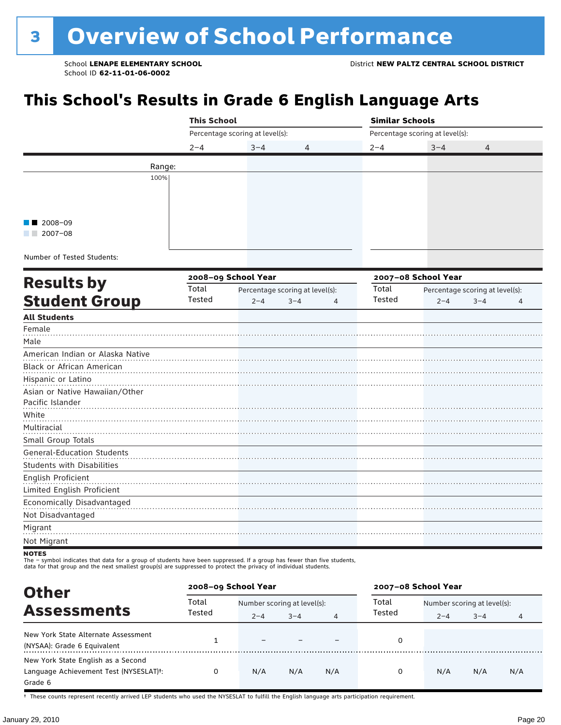# **This School's Results in Grade 6 English Language Arts**

|                                                                                                                                                                                                                                             | <b>This School</b> |                                 |                                 |               | <b>Similar Schools</b>          |                                 |  |  |  |
|---------------------------------------------------------------------------------------------------------------------------------------------------------------------------------------------------------------------------------------------|--------------------|---------------------------------|---------------------------------|---------------|---------------------------------|---------------------------------|--|--|--|
|                                                                                                                                                                                                                                             |                    | Percentage scoring at level(s): |                                 |               | Percentage scoring at level(s): |                                 |  |  |  |
|                                                                                                                                                                                                                                             | $2 - 4$            | $3 - 4$                         | 4                               | $2 - 4$       | $3 - 4$                         | 4                               |  |  |  |
|                                                                                                                                                                                                                                             | Range:             |                                 |                                 |               |                                 |                                 |  |  |  |
| 100%                                                                                                                                                                                                                                        |                    |                                 |                                 |               |                                 |                                 |  |  |  |
|                                                                                                                                                                                                                                             |                    |                                 |                                 |               |                                 |                                 |  |  |  |
|                                                                                                                                                                                                                                             |                    |                                 |                                 |               |                                 |                                 |  |  |  |
|                                                                                                                                                                                                                                             |                    |                                 |                                 |               |                                 |                                 |  |  |  |
| 2008-09<br>$\blacksquare$ 2007-08                                                                                                                                                                                                           |                    |                                 |                                 |               |                                 |                                 |  |  |  |
|                                                                                                                                                                                                                                             |                    |                                 |                                 |               |                                 |                                 |  |  |  |
| Number of Tested Students:                                                                                                                                                                                                                  |                    |                                 |                                 |               |                                 |                                 |  |  |  |
|                                                                                                                                                                                                                                             |                    | 2008-09 School Year             |                                 |               | 2007-08 School Year             |                                 |  |  |  |
| <b>Results by</b>                                                                                                                                                                                                                           | Total              |                                 | Percentage scoring at level(s): | Total         |                                 | Percentage scoring at level(s): |  |  |  |
| <b>Student Group</b>                                                                                                                                                                                                                        | Tested             | $2 - 4$                         | $3 - 4$<br>4                    | <b>Tested</b> | $2 - 4$                         | $3 - 4$<br>4                    |  |  |  |
| <b>All Students</b>                                                                                                                                                                                                                         |                    |                                 |                                 |               |                                 |                                 |  |  |  |
| Female                                                                                                                                                                                                                                      |                    |                                 |                                 |               |                                 |                                 |  |  |  |
| Male                                                                                                                                                                                                                                        |                    |                                 |                                 |               |                                 |                                 |  |  |  |
| American Indian or Alaska Native                                                                                                                                                                                                            |                    |                                 |                                 |               |                                 |                                 |  |  |  |
| Black or African American                                                                                                                                                                                                                   |                    |                                 |                                 |               |                                 |                                 |  |  |  |
| Hispanic or Latino                                                                                                                                                                                                                          |                    |                                 |                                 |               |                                 |                                 |  |  |  |
| Asian or Native Hawaiian/Other                                                                                                                                                                                                              |                    |                                 |                                 |               |                                 |                                 |  |  |  |
| Pacific Islander                                                                                                                                                                                                                            |                    |                                 |                                 |               |                                 |                                 |  |  |  |
| White                                                                                                                                                                                                                                       |                    |                                 |                                 |               |                                 |                                 |  |  |  |
| Multiracial                                                                                                                                                                                                                                 |                    |                                 |                                 |               |                                 |                                 |  |  |  |
| Small Group Totals                                                                                                                                                                                                                          |                    |                                 |                                 |               |                                 |                                 |  |  |  |
| <b>General-Education Students</b>                                                                                                                                                                                                           |                    |                                 |                                 |               |                                 |                                 |  |  |  |
| <b>Students with Disabilities</b>                                                                                                                                                                                                           |                    |                                 |                                 |               |                                 |                                 |  |  |  |
| English Proficient<br>Limited English Proficient                                                                                                                                                                                            |                    |                                 |                                 |               |                                 |                                 |  |  |  |
| Economically Disadvantaged                                                                                                                                                                                                                  |                    |                                 |                                 |               |                                 |                                 |  |  |  |
| Not Disadvantaged                                                                                                                                                                                                                           |                    |                                 |                                 |               |                                 |                                 |  |  |  |
| Migrant                                                                                                                                                                                                                                     |                    |                                 |                                 |               |                                 |                                 |  |  |  |
| Not Migrant                                                                                                                                                                                                                                 |                    |                                 |                                 |               |                                 |                                 |  |  |  |
| NOTES                                                                                                                                                                                                                                       |                    |                                 |                                 |               |                                 |                                 |  |  |  |
| The - symbol indicates that data for a group of students have been suppressed. If a group has fewer than five students,<br>data for that group and the next smallest group(s) are suppressed to protect the privacy of individual students. |                    |                                 |                                 |               |                                 |                                 |  |  |  |

| <b>Other</b>                                                                                         | 2008-09 School Year |                             |         |     | 2007-08 School Year |                             |         |     |  |
|------------------------------------------------------------------------------------------------------|---------------------|-----------------------------|---------|-----|---------------------|-----------------------------|---------|-----|--|
| <b>Assessments</b>                                                                                   | Total<br>Tested     | Number scoring at level(s): |         |     | Total               | Number scoring at level(s): |         |     |  |
|                                                                                                      |                     | $2 - 4$                     | $3 - 4$ | 4   | Tested              | $2 - 4$                     | $3 - 4$ | 4   |  |
| New York State Alternate Assessment<br>(NYSAA): Grade 6 Equivalent                                   |                     |                             |         |     | 0                   |                             |         |     |  |
| New York State English as a Second<br>Language Achievement Test (NYSESLAT) <sup>+</sup> :<br>Grade 6 |                     | N/A                         | N/A     | N/A | 0                   | N/A                         | N/A     | N/A |  |

† These counts represent recently arrived LEP students who used the NYSESLAT to fulfill the English language arts participation requirement.